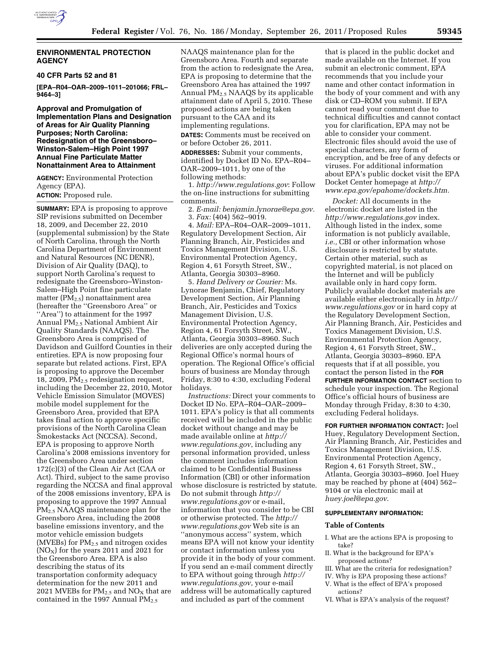

## **ENVIRONMENTAL PROTECTION AGENCY**

# **40 CFR Parts 52 and 81**

**[EPA–R04–OAR–2009–1011–201066; FRL– 9464–3]** 

**Approval and Promulgation of Implementation Plans and Designation of Areas for Air Quality Planning Purposes; North Carolina: Redesignation of the Greensboro– Winston-Salem–High Point 1997 Annual Fine Particulate Matter Nonattainment Area to Attainment** 

**AGENCY:** Environmental Protection Agency (EPA).

**ACTION:** Proposed rule.

**SUMMARY:** EPA is proposing to approve SIP revisions submitted on December 18, 2009, and December 22, 2010 (supplemental submission) by the State of North Carolina, through the North Carolina Department of Environment and Natural Resources (NC DENR), Division of Air Quality (DAQ), to support North Carolina's request to redesignate the Greensboro–Winston-Salem–High Point fine particulate matter  $(PM_{2.5})$  nonattainment area (hereafter the ''Greensboro Area'' or ''Area'') to attainment for the 1997 Annual PM2.5 National Ambient Air Quality Standards (NAAQS). The Greensboro Area is comprised of Davidson and Guilford Counties in their entireties. EPA is now proposing four separate but related actions. First, EPA is proposing to approve the December 18, 2009, PM2.5 redesignation request, including the December 22, 2010, Motor Vehicle Emission Simulator (MOVES) mobile model supplement for the Greensboro Area, provided that EPA takes final action to approve specific provisions of the North Carolina Clean Smokestacks Act (NCCSA). Second, EPA is proposing to approve North Carolina's 2008 emissions inventory for the Greensboro Area under section 172(c)(3) of the Clean Air Act (CAA or Act). Third, subject to the same proviso regarding the NCCSA and final approval of the 2008 emissions inventory, EPA is proposing to approve the 1997 Annual PM<sub>2.5</sub> NAAQS maintenance plan for the Greensboro Area, including the 2008 baseline emissions inventory, and the motor vehicle emission budgets (MVEBs) for  $PM_{2.5}$  and nitrogen oxides  $(NO<sub>X</sub>)$  for the years 2011 and 2021 for the Greensboro Area. EPA is also describing the status of its transportation conformity adequacy determination for the new 2011 and 2021 MVEBs for  $PM_{2.5}$  and  $NO_{X}$  that are contained in the 1997 Annual PM<sub>2.5</sub>

NAAQS maintenance plan for the Greensboro Area. Fourth and separate from the action to redesignate the Area, EPA is proposing to determine that the Greensboro Area has attained the 1997 Annual PM2.5 NAAQS by its applicable attainment date of April 5, 2010. These proposed actions are being taken pursuant to the CAA and its implementing regulations.

**DATES:** Comments must be received on or before October 26, 2011.

**ADDRESSES:** Submit your comments, identified by Docket ID No. EPA–R04– OAR–2009–1011, by one of the following methods:

1. *<http://www.regulations.gov>*: Follow the on-line instructions for submitting comments.

2. *E-mail: [benjamin.lynorae@epa.gov.](mailto:benjamin.lynorae@epa.gov)*  3. *Fax:* (404) 562–9019.

4. *Mail:* EPA–R04–OAR–2009–1011, Regulatory Development Section, Air Planning Branch, Air, Pesticides and Toxics Management Division, U.S. Environmental Protection Agency, Region 4, 61 Forsyth Street, SW., Atlanta, Georgia 30303–8960.

5. *Hand Delivery or Courier:* Ms. Lynorae Benjamin, Chief, Regulatory Development Section, Air Planning Branch, Air, Pesticides and Toxics Management Division, U.S. Environmental Protection Agency, Region 4, 61 Forsyth Street, SW., Atlanta, Georgia 30303–8960. Such deliveries are only accepted during the Regional Office's normal hours of operation. The Regional Office's official hours of business are Monday through Friday, 8:30 to 4:30, excluding Federal holidays.

*Instructions:* Direct your comments to Docket ID No. EPA–R04–OAR–2009– 1011. EPA's policy is that all comments received will be included in the public docket without change and may be made available online at *[http://](http://www.regulations.gov)  [www.regulations.gov](http://www.regulations.gov)*, including any personal information provided, unless the comment includes information claimed to be Confidential Business Information (CBI) or other information whose disclosure is restricted by statute. Do not submit through *[http://](http://www.regulations.gov) [www.regulations.gov](http://www.regulations.gov)* or e-mail, information that you consider to be CBI or otherwise protected. The *[http://](http://www.regulations.gov)  [www.regulations.gov](http://www.regulations.gov)* Web site is an ''anonymous access'' system, which means EPA will not know your identity or contact information unless you provide it in the body of your comment. If you send an e-mail comment directly to EPA without going through *[http://](http://www.regulations.gov) [www.regulations.gov,](http://www.regulations.gov)* your e-mail address will be automatically captured and included as part of the comment

that is placed in the public docket and made available on the Internet. If you submit an electronic comment, EPA recommends that you include your name and other contact information in the body of your comment and with any disk or CD–ROM you submit. If EPA cannot read your comment due to technical difficulties and cannot contact you for clarification, EPA may not be able to consider your comment. Electronic files should avoid the use of special characters, any form of encryption, and be free of any defects or viruses. For additional information about EPA's public docket visit the EPA Docket Center homepage at *[http://](http://www.epa.gov/epahome/dockets.htm) [www.epa.gov/epahome/dockets.htm.](http://www.epa.gov/epahome/dockets.htm)* 

*Docket:* All documents in the electronic docket are listed in the *<http://www.regulations.gov>* index. Although listed in the index, some information is not publicly available, *i.e.,* CBI or other information whose disclosure is restricted by statute. Certain other material, such as copyrighted material, is not placed on the Internet and will be publicly available only in hard copy form. Publicly available docket materials are available either electronically in *[http://](http://www.regulations.gov) [www.regulations.gov](http://www.regulations.gov)* or in hard copy at the Regulatory Development Section, Air Planning Branch, Air, Pesticides and Toxics Management Division, U.S. Environmental Protection Agency, Region 4, 61 Forsyth Street, SW., Atlanta, Georgia 30303–8960. EPA requests that if at all possible, you contact the person listed in the **FOR FURTHER INFORMATION CONTACT** section to schedule your inspection. The Regional Office's official hours of business are Monday through Friday, 8:30 to 4:30, excluding Federal holidays.

**FOR FURTHER INFORMATION CONTACT:** Joel Huey, Regulatory Development Section, Air Planning Branch, Air, Pesticides and Toxics Management Division, U.S. Environmental Protection Agency, Region 4, 61 Forsyth Street, SW., Atlanta, Georgia 30303–8960. Joel Huey may be reached by phone at (404) 562– 9104 or via electronic mail at *[huey.joel@epa.gov](mailto:huey.joel@epa.gov)*.

#### **SUPPLEMENTARY INFORMATION:**

#### **Table of Contents**

I. What are the actions EPA is proposing to take?

- II. What is the background for EPA's proposed actions?
- III. What are the criteria for redesignation?
- IV. Why is EPA proposing these actions?
- V. What is the effect of EPA's proposed actions?
- VI. What is EPA's analysis of the request?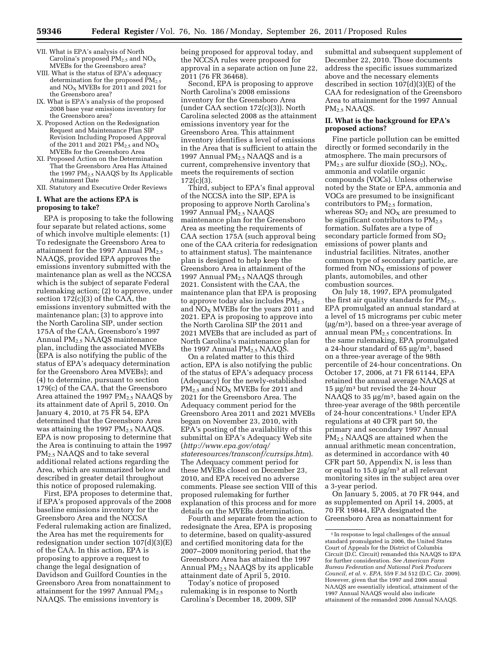- VII. What is EPA's analysis of North Carolina's proposed  $PM_{2.5}$  and  $NO_X$ MVEBs for the Greensboro area?
- VIII. What is the status of EPA's adequacy determination for the proposed PM<sub>2.5</sub> and  $NO<sub>X</sub>$  MVEBs for 2011 and 2021 for the Greensboro area?
- IX. What is EPA's analysis of the proposed 2008 base year emissions inventory for the Greensboro area?
- X. Proposed Action on the Redesignation Request and Maintenance Plan SIP Revision Including Proposed Approval of the 2011 and 2021  $PM_{2.5}$  and  $NO_X$ MVEBs for the Greensboro Area
- XI. Proposed Action on the Determination That the Greensboro Area Has Attained the 1997 PM2.5 NAAQS by Its Applicable Attainment Date
- XII. Statutory and Executive Order Reviews

# **I. What are the actions EPA is proposing to take?**

EPA is proposing to take the following four separate but related actions, some of which involve multiple elements: (1) To redesignate the Greensboro Area to attainment for the 1997 Annual  $PM_{2.5}$ NAAQS, provided EPA approves the emissions inventory submitted with the maintenance plan as well as the NCCSA which is the subject of separate Federal rulemaking action; (2) to approve, under section  $172(c)(3)$  of the CAA, the emissions inventory submitted with the maintenance plan; (3) to approve into the North Carolina SIP, under section 175A of the CAA, Greensboro's 1997 Annual  $PM<sub>2.5</sub> NAAGS$  maintenance plan, including the associated MVEBs (EPA is also notifying the public of the status of EPA's adequacy determination for the Greensboro Area MVEBs); and (4) to determine, pursuant to section 179(c) of the CAA, that the Greensboro Area attained the 1997  $PM_{2.5}$  NAAQS by its attainment date of April 5, 2010. On January 4, 2010, at 75 FR 54, EPA determined that the Greensboro Area was attaining the 1997  $PM<sub>2.5</sub> NAAQS$ . EPA is now proposing to determine that the Area is continuing to attain the 1997 PM<sub>2.5</sub> NAAQS and to take several additional related actions regarding the Area, which are summarized below and described in greater detail throughout this notice of proposed rulemaking.

First, EPA proposes to determine that, if EPA's proposed approvals of the 2008 baseline emissions inventory for the Greensboro Area and the NCCSA Federal rulemaking action are finalized, the Area has met the requirements for redesignation under section 107(d)(3)(E) of the CAA. In this action, EPA is proposing to approve a request to change the legal designation of Davidson and Guilford Counties in the Greensboro Area from nonattainment to attainment for the 1997 Annual  $PM_{2.5}$ NAAQS. The emissions inventory is

being proposed for approval today, and the NCCSA rules were proposed for approval in a separate action on June 22, 2011 (76 FR 36468).

Second, EPA is proposing to approve North Carolina's 2008 emissions inventory for the Greensboro Area (under CAA section 172(c)(3)). North Carolina selected 2008 as the attainment emissions inventory year for the Greensboro Area. This attainment inventory identifies a level of emissions in the Area that is sufficient to attain the 1997 Annual  $PM<sub>2.5</sub> NAAQS$  and is a current, comprehensive inventory that meets the requirements of section 172(c)(3).

Third, subject to EPA's final approval of the NCCSA into the SIP, EPA is proposing to approve North Carolina's 1997 Annual PM<sub>2.5</sub> NAAQS maintenance plan for the Greensboro Area as meeting the requirements of CAA section 175A (such approval being one of the CAA criteria for redesignation to attainment status). The maintenance plan is designed to help keep the Greensboro Area in attainment of the 1997 Annual PM<sub>2.5</sub> NAAQS through 2021. Consistent with the CAA, the maintenance plan that EPA is proposing to approve today also includes  $PM_{2.5}$ and  $NO<sub>X</sub>$  MVEBs for the years 2011 and 2021. EPA is proposing to approve into the North Carolina SIP the 2011 and 2021 MVEBs that are included as part of North Carolina's maintenance plan for the 1997 Annual  $PM<sub>2.5</sub> NAAQS$ .

On a related matter to this third action, EPA is also notifying the public of the status of EPA's adequacy process (Adequacy) for the newly-established  $PM_{2.5}$  and  $NO_X$  MVEBs for 2011 and 2021 for the Greensboro Area. The Adequacy comment period for the Greensboro Area 2011 and 2021 MVEBs began on November 23, 2010, with EPA's posting of the availability of this submittal on EPA's Adequacy Web site (*[http://www.epa.gov/otaq/](http://www.epa.gov/otaq/stateresources/transconf/currsips.htm) [stateresources/transconf/currsips.htm](http://www.epa.gov/otaq/stateresources/transconf/currsips.htm)*). The Adequacy comment period for these MVEBs closed on December 23, 2010, and EPA received no adverse comments. Please see section VIII of this proposed rulemaking for further explanation of this process and for more details on the MVEBs determination.

Fourth and separate from the action to redesignate the Area, EPA is proposing to determine, based on quality-assured and certified monitoring data for the 2007–2009 monitoring period, that the Greensboro Area has attained the 1997 Annual  $PM<sub>2.5</sub> NAAGS$  by its applicable attainment date of April 5, 2010.

Today's notice of proposed rulemaking is in response to North Carolina's December 18, 2009, SIP

submittal and subsequent supplement of December 22, 2010. Those documents address the specific issues summarized above and the necessary elements described in section  $107(d)(3)(E)$  of the CAA for redesignation of the Greensboro Area to attainment for the 1997 Annual PM2.5 NAAQS.

## **II. What is the background for EPA's proposed actions?**

Fine particle pollution can be emitted directly or formed secondarily in the atmosphere. The main precursors of  $PM_{2.5}$  are sulfur dioxide  $(SO_2)$ , NO<sub>X</sub>, ammonia and volatile organic compounds (VOCs). Unless otherwise noted by the State or EPA, ammonia and VOCs are presumed to be insignificant contributors to  $PM_{2.5}$  formation, whereas  $SO_2$  and  $NO<sub>x</sub>$  are presumed to be significant contributors to PM2.5 formation. Sulfates are a type of secondary particle formed from  $SO<sub>2</sub>$ emissions of power plants and industrial facilities. Nitrates, another common type of secondary particle, are formed from  $NO<sub>X</sub>$  emissions of power plants, automobiles, and other combustion sources.

On July 18, 1997, EPA promulgated the first air quality standards for  $PM_{2.5}$ . EPA promulgated an annual standard at a level of 15 micrograms per cubic meter  $(\mu$ g/m<sup>3</sup>), based on a three-year average of annual mean  $PM_{2.5}$  concentrations. In the same rulemaking, EPA promulgated a 24-hour standard of 65 μg/m3, based on a three-year average of the 98th percentile of 24-hour concentrations. On October 17, 2006, at 71 FR 61144, EPA retained the annual average NAAQS at 15 μg/m3 but revised the 24-hour NAAQS to 35 μg/m3, based again on the three-year average of the 98th percentile of 24-hour concentrations.1 Under EPA regulations at 40 CFR part 50, the primary and secondary 1997 Annual PM2.5 NAAQS are attained when the annual arithmetic mean concentration, as determined in accordance with 40 CFR part 50, Appendix N, is less than or equal to  $15.0 \mu g/m^3$  at all relevant monitoring sites in the subject area over a 3-year period.

On January 5, 2005, at 70 FR 944, and as supplemented on April 14, 2005, at 70 FR 19844, EPA designated the Greensboro Area as nonattainment for

<sup>1</sup> In response to legal challenges of the annual standard promulgated in 2006, the United States Court of Appeals for the District of Columbia Circuit (D.C. Circuit) remanded this NAAQS to EPA for further consideration. *See American Farm Bureau Federation and National Pork Producers Council, et al.* v. *EPA*, 559 F.3d 512 (D.C. Cir. 2009). However, given that the 1997 and 2006 annual NAAQS are essentially identical, attainment of the 1997 Annual NAAQS would also indicate attainment of the remanded 2006 Annual NAAQS.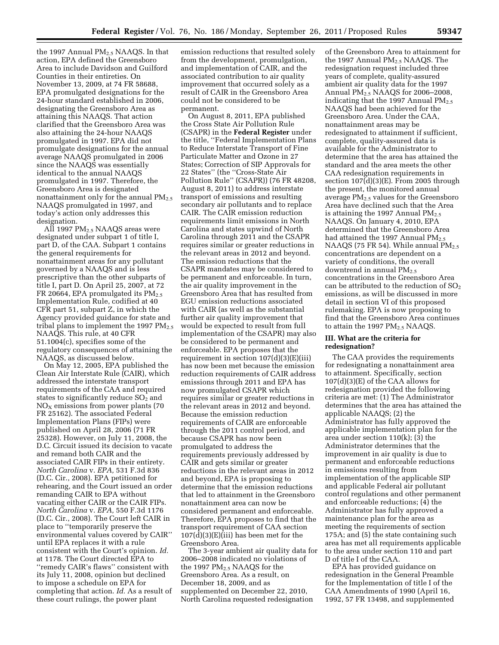the 1997 Annual PM2.5 NAAQS. In that action, EPA defined the Greensboro Area to include Davidson and Guilford Counties in their entireties. On November 13, 2009, at 74 FR 58688, EPA promulgated designations for the 24-hour standard established in 2006, designating the Greensboro Area as attaining this NAAQS. That action clarified that the Greensboro Area was also attaining the 24-hour NAAQS promulgated in 1997. EPA did not promulgate designations for the annual average NAAQS promulgated in 2006 since the NAAQS was essentially identical to the annual NAAQS promulgated in 1997. Therefore, the Greensboro Area is designated nonattainment only for the annual  $PM<sub>2.5</sub>$ NAAQS promulgated in 1997, and today's action only addresses this designation.

All 1997 PM<sub>2.5</sub> NAAQS areas were designated under subpart 1 of title I, part D, of the CAA. Subpart 1 contains the general requirements for nonattainment areas for any pollutant governed by a NAAQS and is less prescriptive than the other subparts of title I, part D. On April 25, 2007, at 72 FR 20664, EPA promulgated its  $PM_{2.5}$ Implementation Rule, codified at 40 CFR part 51, subpart Z, in which the Agency provided guidance for state and tribal plans to implement the 1997  $PM_{2.5}$ NAAQS. This rule, at 40 CFR 51.1004(c), specifies some of the regulatory consequences of attaining the NAAQS, as discussed below.

On May 12, 2005, EPA published the Clean Air Interstate Rule (CAIR), which addressed the interstate transport requirements of the CAA and required states to significantly reduce  $SO<sub>2</sub>$  and  $NO<sub>x</sub>$  emissions from power plants (70) FR 25162). The associated Federal Implementation Plans (FIPs) were published on April 28, 2006 (71 FR 25328). However, on July 11, 2008, the D.C. Circuit issued its decision to vacate and remand both CAIR and the associated CAIR FIPs in their entirety. *North Carolina* v. *EPA,* 531 F.3d 836 (D.C. Cir., 2008). EPA petitioned for rehearing, and the Court issued an order remanding CAIR to EPA without vacating either CAIR or the CAIR FIPs. *North Carolina* v. *EPA,* 550 F.3d 1176 (D.C. Cir., 2008). The Court left CAIR in place to ''temporarily preserve the environmental values covered by CAIR'' until EPA replaces it with a rule consistent with the Court's opinion. *Id.*  at 1178. The Court directed EPA to ''remedy CAIR's flaws'' consistent with its July 11, 2008, opinion but declined to impose a schedule on EPA for completing that action. *Id.* As a result of these court rulings, the power plant

emission reductions that resulted solely from the development, promulgation, and implementation of CAIR, and the associated contribution to air quality improvement that occurred solely as a result of CAIR in the Greensboro Area could not be considered to be permanent.

On August 8, 2011, EPA published the Cross State Air Pollution Rule (CSAPR) in the **Federal Register** under the title, ''Federal Implementation Plans to Reduce Interstate Transport of Fine Particulate Matter and Ozone in 27 States; Correction of SIP Approvals for 22 States'' (the ''Cross-State Air Pollution Rule'' (CSAPR)) (76 FR 48208, August 8, 2011) to address interstate transport of emissions and resulting secondary air pollutants and to replace CAIR. The CAIR emission reduction requirements limit emissions in North Carolina and states upwind of North Carolina through 2011 and the CSAPR requires similar or greater reductions in the relevant areas in 2012 and beyond. The emission reductions that the CSAPR mandates may be considered to be permanent and enforceable. In turn, the air quality improvement in the Greensboro Area that has resulted from EGU emission reductions associated with CAIR (as well as the substantial further air quality improvement that would be expected to result from full implementation of the CSAPR) may also be considered to be permanent and enforceable. EPA proposes that the requirement in section 107(d)(3)(E)(iii) has now been met because the emission reduction requirements of CAIR address emissions through 2011 and EPA has now promulgated CSAPR which requires similar or greater reductions in the relevant areas in 2012 and beyond. Because the emission reduction requirements of CAIR are enforceable through the 2011 control period, and because CSAPR has now been promulgated to address the requirements previously addressed by CAIR and gets similar or greater reductions in the relevant areas in 2012 and beyond, EPA is proposing to determine that the emission reductions that led to attainment in the Greensboro nonattainment area can now be considered permanent and enforceable. Therefore, EPA proposes to find that the transport requirement of CAA section 107(d)(3)(E)(iii) has been met for the Greensboro Area.

The 3-year ambient air quality data for 2006–2008 indicated no violations of the 1997 PM2.5 NAAQS for the Greensboro Area. As a result, on December 18, 2009, and as supplemented on December 22, 2010, North Carolina requested redesignation

of the Greensboro Area to attainment for the 1997 Annual  $PM<sub>2</sub>$ , NAAQS. The redesignation request included three years of complete, quality-assured ambient air quality data for the 1997 Annual PM2.5 NAAQS for 2006–2008, indicating that the 1997 Annual  $PM_{2.5}$ NAAQS had been achieved for the Greensboro Area. Under the CAA, nonattainment areas may be redesignated to attainment if sufficient, complete, quality-assured data is available for the Administrator to determine that the area has attained the standard and the area meets the other CAA redesignation requirements in section 107(d)(3)(E). From 2005 through the present, the monitored annual average PM2.5 values for the Greensboro Area have declined such that the Area is attaining the 1997 Annual  $PM_{2.5}$ NAAQS. On January 4, 2010, EPA determined that the Greensboro Area had attained the 1997 Annual  $PM_{2.5}$ NAAQS (75 FR 54). While annual  $PM<sub>2.5</sub>$ concentrations are dependent on a variety of conditions, the overall downtrend in annual  $PM_{2.5}$ concentrations in the Greensboro Area can be attributed to the reduction of  $SO<sub>2</sub>$ emissions, as will be discussed in more detail in section VI of this proposed rulemaking. EPA is now proposing to find that the Greensboro Area continues to attain the 1997  $PM<sub>2.5</sub> NAAQS$ .

#### **III. What are the criteria for redesignation?**

The CAA provides the requirements for redesignating a nonattainment area to attainment. Specifically, section 107(d)(3)(E) of the CAA allows for redesignation provided the following criteria are met: (1) The Administrator determines that the area has attained the applicable NAAQS; (2) the Administrator has fully approved the applicable implementation plan for the area under section 110(k); (3) the Administrator determines that the improvement in air quality is due to permanent and enforceable reductions in emissions resulting from implementation of the applicable SIP and applicable Federal air pollutant control regulations and other permanent and enforceable reductions; (4) the Administrator has fully approved a maintenance plan for the area as meeting the requirements of section 175A; and (5) the state containing such area has met all requirements applicable to the area under section 110 and part D of title I of the CAA.

EPA has provided guidance on redesignation in the General Preamble for the Implementation of title I of the CAA Amendments of 1990 (April 16, 1992, 57 FR 13498, and supplemented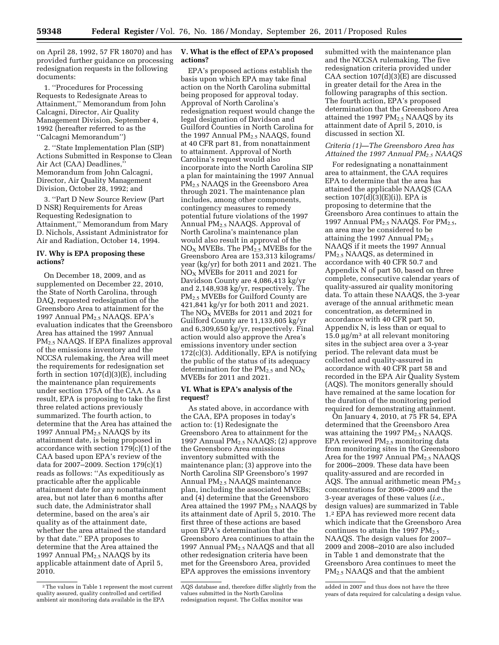on April 28, 1992, 57 FR 18070) and has provided further guidance on processing redesignation requests in the following documents:

1. ''Procedures for Processing Requests to Redesignate Areas to Attainment,'' Memorandum from John Calcagni, Director, Air Quality Management Division, September 4, 1992 (hereafter referred to as the ''Calcagni Memorandum'')

2. ''State Implementation Plan (SIP) Actions Submitted in Response to Clean Air Act (CAA) Deadlines,'' Memorandum from John Calcagni, Director, Air Quality Management Division, October 28, 1992; and

3. ''Part D New Source Review (Part D NSR) Requirements for Areas Requesting Redesignation to Attainment,'' Memorandum from Mary D. Nichols, Assistant Administrator for Air and Radiation, October 14, 1994.

# **IV. Why is EPA proposing these actions?**

On December 18, 2009, and as supplemented on December 22, 2010, the State of North Carolina, through DAQ, requested redesignation of the Greensboro Area to attainment for the 1997 Annual PM2.5 NAAQS. EPA's evaluation indicates that the Greensboro Area has attained the 1997 Annual PM2.5 NAAQS. If EPA finalizes approval of the emissions inventory and the NCCSA rulemaking, the Area will meet the requirements for redesignation set forth in section  $107(d)(3)(E)$ , including the maintenance plan requirements under section 175A of the CAA. As a result, EPA is proposing to take the first three related actions previously summarized. The fourth action, to determine that the Area has attained the 1997 Annual PM2.5 NAAQS by its attainment date, is being proposed in accordance with section 179(c)(1) of the CAA based upon EPA's review of the data for 2007–2009. Section 179(c)(1) reads as follows: ''As expeditiously as practicable after the applicable attainment date for any nonattainment area, but not later than 6 months after such date, the Administrator shall determine, based on the area's air quality as of the attainment date, whether the area attained the standard by that date.'' EPA proposes to determine that the Area attained the 1997 Annual PM<sub>2.5</sub> NAAQS by its applicable attainment date of April 5, 2010.

# **V. What is the effect of EPA's proposed actions?**

EPA's proposed actions establish the basis upon which EPA may take final action on the North Carolina submittal being proposed for approval today. Approval of North Carolina's redesignation request would change the legal designation of Davidson and Guilford Counties in North Carolina for the 1997 Annual  $PM<sub>2.5</sub> NAAQS$ , found at 40 CFR part 81, from nonattainment to attainment. Approval of North Carolina's request would also incorporate into the North Carolina SIP a plan for maintaining the 1997 Annual PM2.5 NAAQS in the Greensboro Area through 2021. The maintenance plan includes, among other components, contingency measures to remedy potential future violations of the 1997 Annual PM2.5 NAAQS. Approval of North Carolina's maintenance plan would also result in approval of the  $NO<sub>X</sub>$  MVEBs. The  $PM<sub>2.5</sub>$  MVEBs for the Greensboro Area are 153,313 kilograms/ year (kg/yr) for both 2011 and 2021. The  $NO<sub>X</sub>$  MVEBs for 2011 and 2021 for Davidson County are 4,086,413 kg/yr and 2,148,938 kg/yr, respectively. The PM2.5 MVEBs for Guilford County are 421,841 kg/yr for both 2011 and 2021. The  $NO<sub>X</sub>$  MVEBs for 2011 and 2021 for Guilford County are 11,133,605 kg/yr and 6,309,650 kg/yr, respectively. Final action would also approve the Area's emissions inventory under section 172(c)(3). Additionally, EPA is notifying the public of the status of its adequacy determination for the  $PM_{2.5}$  and  $NO_X$ MVEBs for 2011 and 2021.

## **VI. What is EPA's analysis of the request?**

As stated above, in accordance with the CAA, EPA proposes in today's action to: (1) Redesignate the Greensboro Area to attainment for the 1997 Annual  $PM<sub>2.5</sub> NAAQS$ ; (2) approve the Greensboro Area emissions inventory submitted with the maintenance plan; (3) approve into the North Carolina SIP Greensboro's 1997 Annual  $PM<sub>2.5</sub> NAAGS$  maintenance plan, including the associated MVEBs; and (4) determine that the Greensboro Area attained the 1997  $PM_{2.5}$  NAAQS by its attainment date of April 5, 2010. The first three of these actions are based upon EPA's determination that the Greensboro Area continues to attain the 1997 Annual PM2.5 NAAQS and that all other redesignation criteria have been met for the Greensboro Area, provided EPA approves the emissions inventory

submitted with the maintenance plan and the NCCSA rulemaking. The five redesignation criteria provided under CAA section 107(d)(3)(E) are discussed in greater detail for the Area in the following paragraphs of this section. The fourth action, EPA's proposed determination that the Greensboro Area attained the 1997  $PM_{2.5}$  NAAQS by its attainment date of April 5, 2010, is discussed in section XI.

### *Criteria (1)—The Greensboro Area has Attained the 1997 Annual PM2.5 NAAQS*

For redesignating a nonattainment area to attainment, the CAA requires EPA to determine that the area has attained the applicable NAAQS (CAA section  $107(d)(3)(E(i))$ . EPA is proposing to determine that the Greensboro Area continues to attain the 1997 Annual  $PM<sub>2.5</sub> NAAQS$ . For  $PM<sub>2.5</sub>$ , an area may be considered to be attaining the 1997 Annual  $PM_{2.5}$ NAAQS if it meets the 1997 Annual PM2.5 NAAQS, as determined in accordance with 40 CFR 50.7 and Appendix N of part 50, based on three complete, consecutive calendar years of quality-assured air quality monitoring data. To attain these NAAQS, the 3-year average of the annual arithmetic mean concentration, as determined in accordance with 40 CFR part 50, Appendix N, is less than or equal to  $15.0 \mu g/m<sup>3</sup>$  at all relevant monitoring sites in the subject area over a 3-year period. The relevant data must be collected and quality-assured in accordance with 40 CFR part 58 and recorded in the EPA Air Quality System (AQS). The monitors generally should have remained at the same location for the duration of the monitoring period required for demonstrating attainment.

On January 4, 2010, at 75 FR 54, EPA determined that the Greensboro Area was attaining the 1997  $PM<sub>2.5</sub> NAAQS$ . EPA reviewed  $PM_{2.5}$  monitoring data from monitoring sites in the Greensboro Area for the 1997 Annual  $PM_{2.5}$  NAAQS for 2006–2009. These data have been quality-assured and are recorded in AQS. The annual arithmetic mean  $PM<sub>2.5</sub>$ concentrations for 2006–2009 and the 3-year averages of these values (*i.e.,*  design values) are summarized in Table 1.2 EPA has reviewed more recent data which indicate that the Greensboro Area continues to attain the 1997  $PM_{2.5}$ NAAQS. The design values for 2007– 2009 and 2008–2010 are also included in Table 1 and demonstrate that the Greensboro Area continues to meet the PM2.5 NAAQS and that the ambient

<sup>2</sup>The values in Table 1 represent the most current quality assured, quality controlled and certified ambient air monitoring data available in the EPA

AQS database and, therefore differ slightly from the values submitted in the North Carolina redesignation request. The Colfax monitor was

added in 2007 and thus does not have the three years of data required for calculating a design value.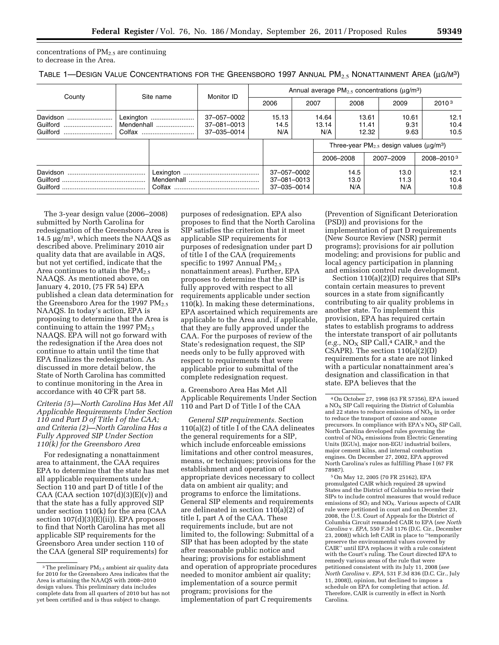concentrations of  $PM<sub>2.5</sub>$  are continuing to decrease in the Area.

TABLE 1—DESIGN VALUE CONCENTRATIONS FOR THE GREENSBORO 1997 ANNUAL PM2.5 NONATTAINMENT AREA (μG/M3)

| County<br>Site name              |  | Annual average $PM_{2.5}$ concentrations ( $\mu$ g/m <sup>3</sup> ) |                                           |      |                                           |  |                       |                     |                         |                                                                |                        |
|----------------------------------|--|---------------------------------------------------------------------|-------------------------------------------|------|-------------------------------------------|--|-----------------------|---------------------|-------------------------|----------------------------------------------------------------|------------------------|
|                                  |  | Monitor ID                                                          |                                           | 2006 | 2007                                      |  | 2008                  |                     | 2009                    | 2010 <sup>3</sup>                                              |                        |
| Davidson<br>Guilford<br>Guilford |  | Lexington<br>Mendenhall<br>Colfax                                   | 37-057-0002<br>37-081-0013<br>37-035-0014 |      | 15.13<br>14.5<br>N/A                      |  | 14.64<br>13.14<br>N/A |                     | 13.61<br>11.41<br>12.32 | 10.61<br>9.31<br>9.63                                          | 12.1<br>10.4<br>10.5   |
|                                  |  |                                                                     |                                           |      |                                           |  |                       |                     |                         | Three-year $PM_{2.5}$ design values ( $\mu$ g/m <sup>3</sup> ) |                        |
|                                  |  |                                                                     |                                           |      |                                           |  |                       | 2006-2008           |                         | 2007-2009                                                      | 2008-2010 <sup>3</sup> |
|                                  |  | Colfax                                                              |                                           |      | 37-057-0002<br>37-081-0013<br>37-035-0014 |  |                       | 14.5<br>13.0<br>N/A |                         | 13.0<br>11.3<br>N/A                                            | 12.1<br>10.4<br>10.8   |

The 3-year design value (2006–2008) submitted by North Carolina for redesignation of the Greensboro Area is 14.5  $\mu$ g/m<sup>3</sup>, which meets the NAAQS as described above. Preliminary 2010 air quality data that are available in AQS, but not yet certified, indicate that the Area continues to attain the  $PM_{2.5}$ NAAQS. As mentioned above, on January 4, 2010, (75 FR 54) EPA published a clean data determination for the Greensboro Area for the 1997  $PM_{2.5}$ NAAQS. In today's action, EPA is proposing to determine that the Area is continuing to attain the 1997  $PM_{2.5}$ NAAQS. EPA will not go forward with the redesignation if the Area does not continue to attain until the time that EPA finalizes the redesignation. As discussed in more detail below, the State of North Carolina has committed to continue monitoring in the Area in accordance with 40 CFR part 58.

*Criteria (5)—North Carolina Has Met All Applicable Requirements Under Section 110 and Part D of Title I of the CAA; and Criteria (2)—North Carolina Has a Fully Approved SIP Under Section 110(k) for the Greensboro Area* 

For redesignating a nonattainment area to attainment, the CAA requires EPA to determine that the state has met all applicable requirements under Section 110 and part D of title I of the CAA (CAA section  $107(d)(3)(E)(v)$ ) and that the state has a fully approved SIP under section 110(k) for the area (CAA section 107(d)(3)(E)(ii)). EPA proposes to find that North Carolina has met all applicable SIP requirements for the Greensboro Area under section 110 of the CAA (general SIP requirements) for

purposes of redesignation. EPA also proposes to find that the North Carolina SIP satisfies the criterion that it meet applicable SIP requirements for purposes of redesignation under part D of title I of the CAA (requirements specific to 1997 Annual  $PM_{2.5}$ nonattainment areas). Further, EPA proposes to determine that the SIP is fully approved with respect to all requirements applicable under section 110(k). In making these determinations, EPA ascertained which requirements are applicable to the Area and, if applicable, that they are fully approved under the CAA. For the purposes of review of the State's redesignation request, the SIP needs only to be fully approved with respect to requirements that were applicable prior to submittal of the complete redesignation request.

a. Greensboro Area Has Met All Applicable Requirements Under Section 110 and Part D of Title I of the CAA

*General SIP requirements.* Section 110(a)(2) of title I of the CAA delineates the general requirements for a SIP, which include enforceable emissions limitations and other control measures, means, or techniques; provisions for the establishment and operation of appropriate devices necessary to collect data on ambient air quality; and programs to enforce the limitations. General SIP elements and requirements are delineated in section 110(a)(2) of title I, part A of the CAA. These requirements include, but are not limited to, the following: Submittal of a SIP that has been adopted by the state after reasonable public notice and hearing; provisions for establishment and operation of appropriate procedures needed to monitor ambient air quality; implementation of a source permit program; provisions for the implementation of part C requirements

(Prevention of Significant Deterioration (PSD)) and provisions for the implementation of part D requirements (New Source Review (NSR) permit programs); provisions for air pollution modeling; and provisions for public and local agency participation in planning and emission control rule development.

Section 110(a)(2)(D) requires that SIPs contain certain measures to prevent sources in a state from significantly contributing to air quality problems in another state. To implement this provision, EPA has required certain states to establish programs to address the interstate transport of air pollutants  $(e.g., NO<sub>X</sub> SIP Call,<sup>4</sup> CAIR,<sup>5</sup> and the$ CSAPR). The section  $110(a)(2)(D)$ requirements for a state are not linked with a particular nonattainment area's designation and classification in that state. EPA believes that the

5On May 12, 2005 (70 FR 25162), EPA promulgated CAIR which required 28 upwind States and the District of Columbia to revise their SIPs to include control measures that would reduce emissions of  $SO<sub>2</sub>$  and  $NO<sub>X</sub>$ . Various aspects of CAIR rule were petitioned in court and on December 23, 2008, the U.S. Court of Appeals for the District of Columbia Circuit remanded CAIR to EPA (*see North Carolina* v. *EPA,* 550 F.3d 1176 (D.C. Cir., December 23, 2008)) which left CAIR in place to ''temporarily preserve the environmental values covered by CAIR'' until EPA replaces it with a rule consistent with the Court's ruling. The Court directed EPA to remedy various areas of the rule that were petitioned consistent with its July 11, 2008 (*see North Carolina* v. *EPA,* 531 F.3d 836 (D.C. Cir., July 11, 2008)), opinion, but declined to impose a schedule on EPA for completing that action. *Id.*  Therefore, CAIR is currently in effect in North Carolina.

<sup>&</sup>lt;sup>3</sup>The preliminary PM<sub>2.5</sub> ambient air quality data for 2010 for the Greensboro Area indicates that the Area is attaining the NAAQS with 2008–2010 design values. This preliminary data includes complete data from all quarters of 2010 but has not yet been certified and is thus subject to change.

<sup>4</sup>On October 27, 1998 (63 FR 57356), EPA issued a  $NO<sub>x</sub>$  SIP Call requiring the District of Columbia and 22 states to reduce emissions of  $NO<sub>x</sub>$  in order to reduce the transport of ozone and ozone precursors. In compliance with EPA's  $NO<sub>x</sub>$  SIP Call, North Carolina developed rules governing the control of  $NO<sub>x</sub>$  emissions from Electric Generating Units (EGUs), major non-EGU industrial boilers, major cement kilns, and internal combustion engines. On December 27, 2002, EPA approved North Carolina's rules as fulfilling Phase I (67 FR 78987).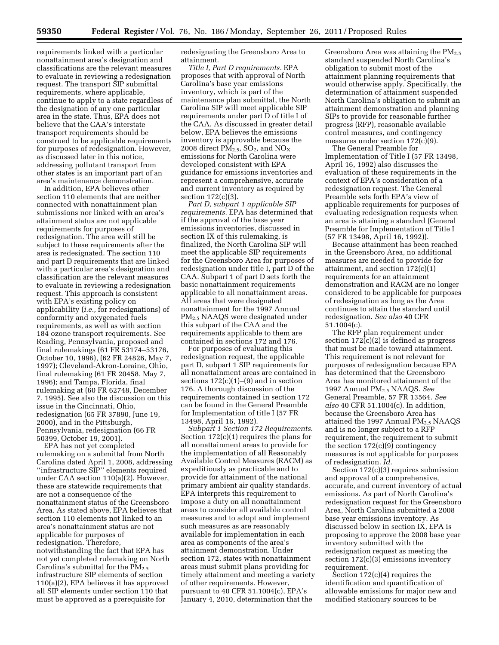requirements linked with a particular nonattainment area's designation and classifications are the relevant measures to evaluate in reviewing a redesignation request. The transport SIP submittal requirements, where applicable, continue to apply to a state regardless of the designation of any one particular area in the state. Thus, EPA does not believe that the CAA's interstate transport requirements should be construed to be applicable requirements for purposes of redesignation. However, as discussed later in this notice, addressing pollutant transport from other states is an important part of an area's maintenance demonstration.

In addition, EPA believes other section 110 elements that are neither connected with nonattainment plan submissions nor linked with an area's attainment status are not applicable requirements for purposes of redesignation. The area will still be subject to these requirements after the area is redesignated. The section 110 and part D requirements that are linked with a particular area's designation and classification are the relevant measures to evaluate in reviewing a redesignation request. This approach is consistent with EPA's existing policy on applicability (*i.e.,* for redesignations) of conformity and oxygenated fuels requirements, as well as with section 184 ozone transport requirements. See Reading, Pennsylvania, proposed and final rulemakings (61 FR 53174–53176, October 10, 1996), (62 FR 24826, May 7, 1997); Cleveland-Akron-Loraine, Ohio, final rulemaking (61 FR 20458, May 7, 1996); and Tampa, Florida, final rulemaking at (60 FR 62748, December 7, 1995). See also the discussion on this issue in the Cincinnati, Ohio, redesignation (65 FR 37890, June 19, 2000), and in the Pittsburgh, Pennsylvania, redesignation (66 FR 50399, October 19, 2001).

EPA has not yet completed rulemaking on a submittal from North Carolina dated April 1, 2008, addressing ''infrastructure SIP'' elements required under CAA section 110(a)(2). However, these are statewide requirements that are not a consequence of the nonattainment status of the Greensboro Area. As stated above, EPA believes that section 110 elements not linked to an area's nonattainment status are not applicable for purposes of redesignation. Therefore, notwithstanding the fact that EPA has not yet completed rulemaking on North Carolina's submittal for the  $PM_{2.5}$ infrastructure SIP elements of section 110(a)(2), EPA believes it has approved all SIP elements under section 110 that must be approved as a prerequisite for

redesignating the Greensboro Area to attainment.

*Title I, Part D requirements.* EPA proposes that with approval of North Carolina's base year emissions inventory, which is part of the maintenance plan submittal, the North Carolina SIP will meet applicable SIP requirements under part D of title I of the CAA. As discussed in greater detail below, EPA believes the emissions inventory is approvable because the 2008 direct  $PM_{2.5}$ ,  $SO_2$ , and  $NO_X$ emissions for North Carolina were developed consistent with EPA guidance for emissions inventories and represent a comprehensive, accurate and current inventory as required by section 172(c)(3).

*Part D, subpart 1 applicable SIP requirements.* EPA has determined that if the approval of the base year emissions inventories, discussed in section IX of this rulemaking, is finalized, the North Carolina SIP will meet the applicable SIP requirements for the Greensboro Area for purposes of redesignation under title I, part D of the CAA. Subpart 1 of part D sets forth the basic nonattainment requirements applicable to all nonattainment areas. All areas that were designated nonattainment for the 1997 Annual PM2.5 NAAQS were designated under this subpart of the CAA and the requirements applicable to them are contained in sections 172 and 176.

For purposes of evaluating this redesignation request, the applicable part D, subpart 1 SIP requirements for all nonattainment areas are contained in sections 172(c)(1)–(9) and in section 176. A thorough discussion of the requirements contained in section 172 can be found in the General Preamble for Implementation of title I (57 FR 13498, April 16, 1992).

*Subpart 1 Section 172 Requirements*. Section 172(c)(1) requires the plans for all nonattainment areas to provide for the implementation of all Reasonably Available Control Measures (RACM) as expeditiously as practicable and to provide for attainment of the national primary ambient air quality standards. EPA interprets this requirement to impose a duty on all nonattainment areas to consider all available control measures and to adopt and implement such measures as are reasonably available for implementation in each area as components of the area's attainment demonstration. Under section 172, states with nonattainment areas must submit plans providing for timely attainment and meeting a variety of other requirements. However, pursuant to 40 CFR 51.1004(c), EPA's January 4, 2010, determination that the

Greensboro Area was attaining the  $PM_{2.5}$ standard suspended North Carolina's obligation to submit most of the attainment planning requirements that would otherwise apply. Specifically, the determination of attainment suspended North Carolina's obligation to submit an attainment demonstration and planning SIPs to provide for reasonable further progress (RFP), reasonable available control measures, and contingency measures under section 172(c)(9).

The General Preamble for Implementation of Title I (57 FR 13498, April 16, 1992) also discusses the evaluation of these requirements in the context of EPA's consideration of a redesignation request. The General Preamble sets forth EPA's view of applicable requirements for purposes of evaluating redesignation requests when an area is attaining a standard (General Preamble for Implementation of Title I (57 FR 13498, April 16, 1992)).

Because attainment has been reached in the Greensboro Area, no additional measures are needed to provide for attainment, and section 172(c)(1) requirements for an attainment demonstration and RACM are no longer considered to be applicable for purposes of redesignation as long as the Area continues to attain the standard until redesignation. *See also* 40 CFR 51.1004(c).

The RFP plan requirement under section 172(c)(2) is defined as progress that must be made toward attainment. This requirement is not relevant for purposes of redesignation because EPA has determined that the Greensboro Area has monitored attainment of the 1997 Annual PM2.5 NAAQS. *See*  General Preamble, 57 FR 13564. *See also* 40 CFR 51.1004(c). In addition, because the Greensboro Area has attained the 1997 Annual PM<sub>2.5</sub> NAAQS and is no longer subject to a RFP requirement, the requirement to submit the section 172(c)(9) contingency measures is not applicable for purposes of redesignation. *Id.* 

Section 172(c)(3) requires submission and approval of a comprehensive, accurate, and current inventory of actual emissions. As part of North Carolina's redesignation request for the Greensboro Area, North Carolina submitted a 2008 base year emissions inventory. As discussed below in section IX, EPA is proposing to approve the 2008 base year inventory submitted with the redesignation request as meeting the section 172(c)(3) emissions inventory requirement.

Section  $172(c)(4)$  requires the identification and quantification of allowable emissions for major new and modified stationary sources to be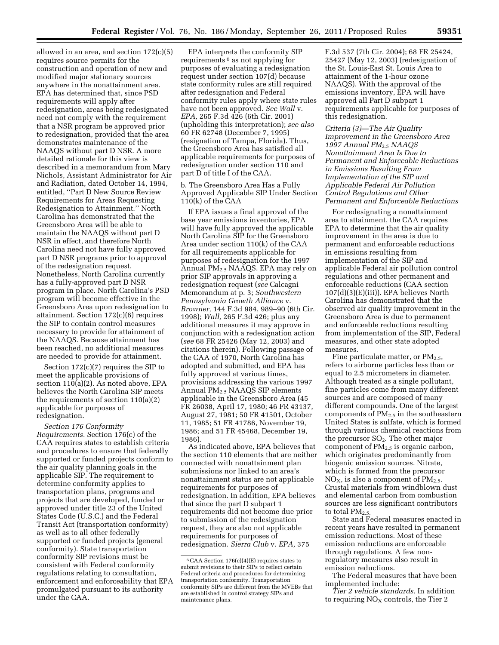allowed in an area, and section 172(c)(5) requires source permits for the construction and operation of new and modified major stationary sources anywhere in the nonattainment area. EPA has determined that, since PSD requirements will apply after redesignation, areas being redesignated need not comply with the requirement that a NSR program be approved prior to redesignation, provided that the area demonstrates maintenance of the NAAQS without part D NSR. A more detailed rationale for this view is described in a memorandum from Mary Nichols, Assistant Administrator for Air and Radiation, dated October 14, 1994, entitled, ''Part D New Source Review Requirements for Areas Requesting Redesignation to Attainment.'' North Carolina has demonstrated that the Greensboro Area will be able to maintain the NAAQS without part D NSR in effect, and therefore North Carolina need not have fully approved part D NSR programs prior to approval of the redesignation request. Nonetheless, North Carolina currently has a fully-approved part D NSR program in place. North Carolina's PSD program will become effective in the Greensboro Area upon redesignation to attainment. Section 172(c)(6) requires the SIP to contain control measures necessary to provide for attainment of the NAAQS. Because attainment has been reached, no additional measures are needed to provide for attainment.

Section 172(c)(7) requires the SIP to meet the applicable provisions of section 110(a)(2). As noted above, EPA believes the North Carolina SIP meets the requirements of section 110(a)(2) applicable for purposes of redesignation.

*Section 176 Conformity Requirements.* Section 176(c) of the CAA requires states to establish criteria and procedures to ensure that federally supported or funded projects conform to the air quality planning goals in the applicable SIP. The requirement to determine conformity applies to transportation plans, programs and projects that are developed, funded or approved under title 23 of the United States Code (U.S.C.) and the Federal Transit Act (transportation conformity) as well as to all other federally supported or funded projects (general conformity). State transportation conformity SIP revisions must be consistent with Federal conformity regulations relating to consultation, enforcement and enforceability that EPA promulgated pursuant to its authority under the CAA.

EPA interprets the conformity SIP requirements 6 as not applying for purposes of evaluating a redesignation request under section 107(d) because state conformity rules are still required after redesignation and Federal conformity rules apply where state rules have not been approved. *See Wall* v. *EPA,* 265 F.3d 426 (6th Cir. 2001) (upholding this interpretation); *see also*  60 FR 62748 (December 7, 1995) (resignation of Tampa, Florida). Thus, the Greensboro Area has satisfied all applicable requirements for purposes of redesignation under section 110 and part D of title I of the CAA.

b. The Greensboro Area Has a Fully Approved Applicable SIP Under Section 110(k) of the CAA

If EPA issues a final approval of the base year emissions inventories, EPA will have fully approved the applicable North Carolina SIP for the Greensboro Area under section 110(k) of the CAA for all requirements applicable for purposes of redesignation for the 1997 Annual  $PM_{2.5}$  NAAQS. EPA may rely on prior SIP approvals in approving a redesignation request (*see* Calcagni Memorandum at p. 3; *Southwestern Pennsylvania Growth Alliance* v. *Browner,* 144 F.3d 984, 989–90 (6th Cir. 1998); *Wall,* 265 F.3d 426; plus any additional measures it may approve in conjunction with a redesignation action (*see* 68 FR 25426 (May 12, 2003) and citations therein). Following passage of the CAA of 1970, North Carolina has adopted and submitted, and EPA has fully approved at various times, provisions addressing the various 1997 Annual PM2.5 NAAQS SIP elements applicable in the Greensboro Area (45 FR 26038, April 17, 1980; 46 FR 43137, August 27, 1981; 50 FR 41501, October 11, 1985; 51 FR 41786, November 19, 1986; and 51 FR 45468, December 19, 1986).

As indicated above, EPA believes that the section 110 elements that are neither connected with nonattainment plan submissions nor linked to an area's nonattainment status are not applicable requirements for purposes of redesignation. In addition, EPA believes that since the part D subpart 1 requirements did not become due prior to submission of the redesignation request, they are also not applicable requirements for purposes of redesignation. *Sierra Club* v. *EPA,* 375

F.3d 537 (7th Cir. 2004); 68 FR 25424, 25427 (May 12, 2003) (redesignation of the St. Louis-East St. Louis Area to attainment of the 1-hour ozone NAAQS). With the approval of the emissions inventory, EPA will have approved all Part D subpart 1 requirements applicable for purposes of this redesignation.

*Criteria (3)—The Air Quality Improvement in the Greensboro Area 1997 Annual PM*2.5 *NAAQS Nonattainment Area Is Due to Permanent and Enforceable Reductions in Emissions Resulting From Implementation of the SIP and Applicable Federal Air Pollution Control Regulations and Other Permanent and Enforceable Reductions* 

For redesignating a nonattainment area to attainment, the CAA requires EPA to determine that the air quality improvement in the area is due to permanent and enforceable reductions in emissions resulting from implementation of the SIP and applicable Federal air pollution control regulations and other permanent and enforceable reductions (CAA section 107(d)(3)(E)(iii)). EPA believes North Carolina has demonstrated that the observed air quality improvement in the Greensboro Area is due to permanent and enforceable reductions resulting from implementation of the SIP, Federal measures, and other state adopted measures.

Fine particulate matter, or  $PM_{2.5}$ , refers to airborne particles less than or equal to 2.5 micrometers in diameter. Although treated as a single pollutant, fine particles come from many different sources and are composed of many different compounds. One of the largest components of  $PM_{2.5}$  in the southeastern United States is sulfate, which is formed through various chemical reactions from the precursor  $SO<sub>2</sub>$ . The other major component of  $PM<sub>2.5</sub>$  is organic carbon, which originates predominantly from biogenic emission sources. Nitrate, which is formed from the precursor  $NO<sub>X</sub>$ , is also a component of  $PM<sub>2.5</sub>$ . Crustal materials from windblown dust and elemental carbon from combustion sources are less significant contributors to total  $PM_{2.5}$ 

State and Federal measures enacted in recent years have resulted in permanent emission reductions. Most of these emission reductions are enforceable through regulations. A few nonregulatory measures also result in emission reductions.

The Federal measures that have been implemented include:

*Tier 2 vehicle standards.* In addition to requiring  $NO<sub>X</sub>$  controls, the Tier 2

<sup>6</sup>CAA Section 176(c)(4)(E) requires states to submit revisions to their SIPs to reflect certain Federal criteria and procedures for determining transportation conformity. Transportation conformity SIPs are different from the MVEBs that are established in control strategy SIPs and maintenance plans.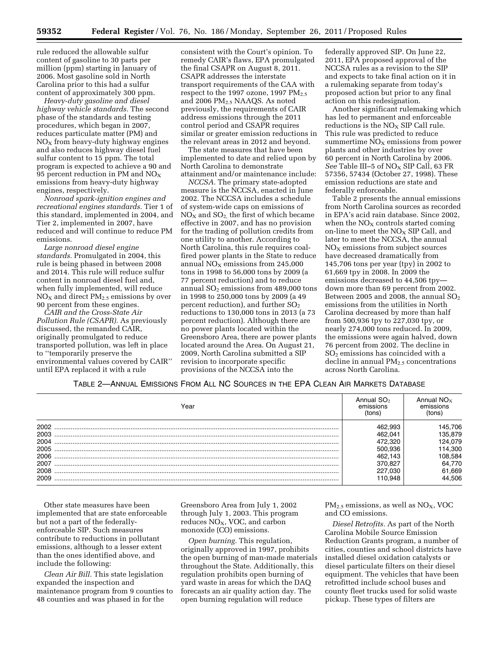rule reduced the allowable sulfur content of gasoline to 30 parts per million (ppm) starting in January of 2006. Most gasoline sold in North Carolina prior to this had a sulfur content of approximately 300 ppm.

*Heavy-duty gasoline and diesel highway vehicle standards.* The second phase of the standards and testing procedures, which began in 2007, reduces particulate matter (PM) and  $NO<sub>x</sub>$  from heavy-duty highway engines and also reduces highway diesel fuel sulfur content to 15 ppm. The total program is expected to achieve a 90 and 95 percent reduction in PM and  $NO<sub>x</sub>$ emissions from heavy-duty highway engines, respectively.

*Nonroad spark-ignition engines and recreational engines standards.* Tier 1 of this standard, implemented in 2004, and Tier 2, implemented in 2007, have reduced and will continue to reduce PM emissions.

*Large nonroad diesel engine standards.* Promulgated in 2004, this rule is being phased in between 2008 and 2014. This rule will reduce sulfur content in nonroad diesel fuel and, when fully implemented, will reduce  $NO<sub>X</sub>$  and direct  $PM<sub>2.5</sub>$  emissions by over 90 percent from these engines.

*CAIR and the Cross-State Air Pollution Rule (CSAPR).* As previously discussed, the remanded CAIR, originally promulgated to reduce transported pollution, was left in place to ''temporarily preserve the environmental values covered by CAIR'' until EPA replaced it with a rule

consistent with the Court's opinion. To remedy CAIR's flaws, EPA promulgated the final CSAPR on August 8, 2011. CSAPR addresses the interstate transport requirements of the CAA with respect to the 1997 ozone, 1997 PM<sub>2.5</sub> and 2006 PM2.5 NAAQS. As noted previously, the requirements of CAIR address emissions through the 2011 control period and CSAPR requires similar or greater emission reductions in the relevant areas in 2012 and beyond.

The state measures that have been implemented to date and relied upon by North Carolina to demonstrate attainment and/or maintenance include:

*NCCSA.* The primary state-adopted measure is the NCCSA, enacted in June 2002. The NCCSA includes a schedule of system-wide caps on emissions of  $NO<sub>X</sub>$  and  $SO<sub>2</sub>$ , the first of which became effective in 2007, and has no provision for the trading of pollution credits from one utility to another. According to North Carolina, this rule requires coalfired power plants in the State to reduce annual  $NO<sub>X</sub>$  emissions from 245,000 tons in 1998 to 56,000 tons by 2009 (a 77 percent reduction) and to reduce annual  $SO<sub>2</sub>$  emissions from 489,000 tons in 1998 to 250,000 tons by 2009 (a 49 percent reduction), and further  $SO<sub>2</sub>$ reductions to 130,000 tons in 2013 (a 73 percent reduction). Although there are no power plants located within the Greensboro Area, there are power plants located around the Area. On August 21, 2009, North Carolina submitted a SIP revision to incorporate specific provisions of the NCCSA into the

federally approved SIP. On June 22, 2011, EPA proposed approval of the NCCSA rules as a revision to the SIP and expects to take final action on it in a rulemaking separate from today's proposed action but prior to any final action on this redesignation.

Another significant rulemaking which has led to permanent and enforceable reductions is the  $NO<sub>x</sub>$  SIP Call rule. This rule was predicted to reduce summertime  $NO<sub>x</sub>$  emissions from power plants and other industries by over 60 percent in North Carolina by 2006.  $See$  Table III–5 of  $NO<sub>x</sub>$  SIP Call, 63 FR 57356, 57434 (October 27, 1998). These emission reductions are state and federally enforceable.

Table 2 presents the annual emissions from North Carolina sources as recorded in EPA's acid rain database. Since 2002, when the  $NO<sub>X</sub>$  controls started coming on-line to meet the  $NO<sub>x</sub>$  SIP Call, and later to meet the NCCSA, the annual  $NO<sub>x</sub>$  emissions from subject sources have decreased dramatically from 145,706 tons per year (tpy) in 2002 to 61,669 tpy in 2008. In 2009 the emissions decreased to 44,506 tpy down more than 69 percent from 2002. Between 2005 and 2008, the annual  $SO<sub>2</sub>$ emissions from the utilities in North Carolina decreased by more than half from 500,936 tpy to 227,030 tpy, or nearly 274,000 tons reduced. In 2009, the emissions were again halved, down 76 percent from 2002. The decline in SO2 emissions has coincided with a decline in annual  $PM<sub>2.5</sub>$  concentrations across North Carolina.

TABLE 2—ANNUAL EMISSIONS FROM ALL NC SOURCES IN THE EPA CLEAN AIR MARKETS DATABASE

| Year | Annual $SO2$<br>emissions<br>tons! | Annual $NO_x$<br>emissions<br>tons` |
|------|------------------------------------|-------------------------------------|
| 2002 |                                    | 145,706                             |
| 2003 | 462.041                            | 135,879                             |
| 2004 | 472.320                            | 124,079                             |
| 2005 | 500.936                            | 114,300                             |
| 2006 | 462.143                            | 108,584                             |
| 2007 | 370.827                            | 64,770                              |
| 2008 | 227.030                            | 61,669                              |
| 2009 | 10.948                             | 44.506                              |

Other state measures have been implemented that are state enforceable but not a part of the federallyenforceable SIP. Such measures contribute to reductions in pollutant emissions, although to a lesser extent than the ones identified above, and include the following:

*Clean Air Bill.* This state legislation expanded the inspection and maintenance program from 9 counties to 48 counties and was phased in for the

Greensboro Area from July 1, 2002 through July 1, 2003. This program reduces  $NO<sub>X</sub>$ , VOC, and carbon monoxide (CO) emissions.

*Open burning.* This regulation, originally approved in 1997, prohibits the open burning of man-made materials throughout the State. Additionally, this regulation prohibits open burning of yard waste in areas for which the DAQ forecasts an air quality action day. The open burning regulation will reduce

 $PM_{2.5}$  emissions, as well as  $NO_X$ , VOC and CO emissions.

*Diesel Retrofits.* As part of the North Carolina Mobile Source Emission Reduction Grants program, a number of cities, counties and school districts have installed diesel oxidation catalysts or diesel particulate filters on their diesel equipment. The vehicles that have been retrofitted include school buses and county fleet trucks used for solid waste pickup. These types of filters are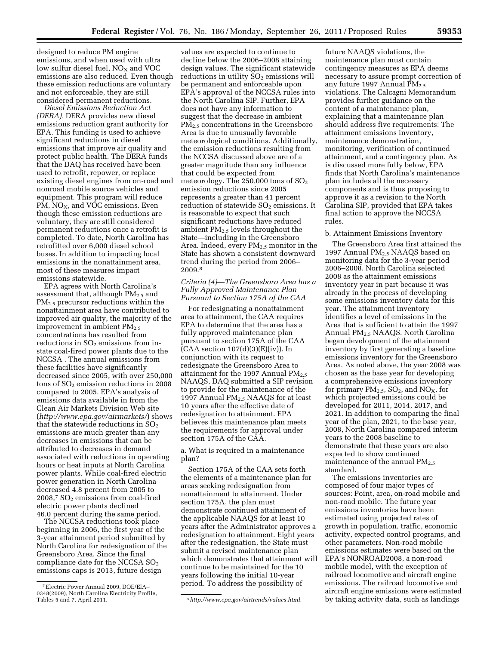designed to reduce PM engine emissions, and when used with ultra low sulfur diesel fuel,  $NO<sub>X</sub>$  and VOC emissions are also reduced. Even though these emission reductions are voluntary and not enforceable, they are still considered permanent reductions.

*Diesel Emissions Reduction Act (DERA).* DERA provides new diesel emissions reduction grant authority for EPA. This funding is used to achieve significant reductions in diesel emissions that improve air quality and protect public health. The DERA funds that the DAQ has received have been used to retrofit, repower, or replace existing diesel engines from on-road and nonroad mobile source vehicles and equipment. This program will reduce  $\overline{PM}$ ,  $\overline{NO_X}$ , and  $\overline{VOC}$  emissions. Even though these emission reductions are voluntary, they are still considered permanent reductions once a retrofit is completed. To date, North Carolina has retrofitted over 6,000 diesel school buses. In addition to impacting local emissions in the nonattainment area, most of these measures impact emissions statewide.

EPA agrees with North Carolina's assessment that, although  $PM_{2.5}$  and PM2.5 precursor reductions within the nonattainment area have contributed to improved air quality, the majority of the improvement in ambient  $PM_{2.5}$ concentrations has resulted from reductions in  $SO<sub>2</sub>$  emissions from instate coal-fired power plants due to the NCCSA . The annual emissions from these facilities have significantly decreased since 2005, with over 250,000 tons of  $SO<sub>2</sub>$  emission reductions in 2008 compared to 2005. EPA's analysis of emissions data available in from the Clean Air Markets Division Web site (*<http://www.epa.gov/airmarkets/>*) shows that the statewide reductions in  $SO<sub>2</sub>$ emissions are much greater than any decreases in emissions that can be attributed to decreases in demand associated with reductions in operating hours or heat inputs at North Carolina power plants. While coal-fired electric power generation in North Carolina decreased 4.8 percent from 2005 to  $2008$ ,  $2008$ ,  $2008$  emissions from coal-fired electric power plants declined 46.0 percent during the same period.

The NCCSA reductions took place beginning in 2006, the first year of the 3-year attainment period submitted by North Carolina for redesignation of the Greensboro Area. Since the final compliance date for the NCCSA  $SO<sub>2</sub>$ emissions caps is 2013, future design

values are expected to continue to decline below the 2006–2008 attaining design values. The significant statewide reductions in utility  $SO<sub>2</sub>$  emissions will be permanent and enforceable upon EPA's approval of the NCCSA rules into the North Carolina SIP. Further, EPA does not have any information to suggest that the decrease in ambient PM2.5 concentrations in the Greensboro Area is due to unusually favorable meteorological conditions. Additionally, the emission reductions resulting from the NCCSA discussed above are of a greater magnitude than any influence that could be expected from meteorology. The 250,000 tons of SO2 emission reductions since 2005 represents a greater than 41 percent reduction of statewide SO<sub>2</sub> emissions. It is reasonable to expect that such significant reductions have reduced ambient  $PM_{2.5}$  levels throughout the State—including in the Greensboro Area. Indeed, every  $PM_{2.5}$  monitor in the State has shown a consistent downward trend during the period from 2006– 2009.8

## *Criteria (4)—The Greensboro Area has a Fully Approved Maintenance Plan Pursuant to Section 175A of the CAA*

For redesignating a nonattainment area to attainment, the CAA requires EPA to determine that the area has a fully approved maintenance plan pursuant to section 175A of the CAA  $\overline{(CAA \; section\; 107(d)(3)(E)(iv))}$ . In conjunction with its request to redesignate the Greensboro Area to attainment for the 1997 Annual  $PM_{2.5}$ NAAQS, DAQ submitted a SIP revision to provide for the maintenance of the 1997 Annual  $PM<sub>2.5</sub> NAAOS$  for at least 10 years after the effective date of redesignation to attainment. EPA believes this maintenance plan meets the requirements for approval under section 175A of the CAA.

a. What is required in a maintenance plan?

Section 175A of the CAA sets forth the elements of a maintenance plan for areas seeking redesignation from nonattainment to attainment. Under section 175A, the plan must demonstrate continued attainment of the applicable NAAQS for at least 10 years after the Administrator approves a redesignation to attainment. Eight years after the redesignation, the State must submit a revised maintenance plan which demonstrates that attainment will continue to be maintained for the 10 years following the initial 10-year period. To address the possibility of

future NAAQS violations, the maintenance plan must contain contingency measures as EPA deems necessary to assure prompt correction of any future 1997 Annual  $\bar{PM}_{2.5}$ violations. The Calcagni Memorandum provides further guidance on the content of a maintenance plan, explaining that a maintenance plan should address five requirements: The attainment emissions inventory, maintenance demonstration, monitoring, verification of continued attainment, and a contingency plan. As is discussed more fully below, EPA finds that North Carolina's maintenance plan includes all the necessary components and is thus proposing to approve it as a revision to the North Carolina SIP, provided that EPA takes final action to approve the NCCSA rules.

#### b. Attainment Emissions Inventory

The Greensboro Area first attained the 1997 Annual PM<sub>2.5</sub> NAAQS based on monitoring data for the 3-year period 2006–2008. North Carolina selected 2008 as the attainment emissions inventory year in part because it was already in the process of developing some emissions inventory data for this year. The attainment inventory identifies a level of emissions in the Area that is sufficient to attain the 1997 Annual PM2.5 NAAQS. North Carolina began development of the attainment inventory by first generating a baseline emissions inventory for the Greensboro Area. As noted above, the year 2008 was chosen as the base year for developing a comprehensive emissions inventory for primary  $PM_{2.5}$ ,  $SO_2$ , and  $NO_X$ , for which projected emissions could be developed for 2011, 2014, 2017, and 2021. In addition to comparing the final year of the plan, 2021, to the base year, 2008, North Carolina compared interim years to the 2008 baseline to demonstrate that these years are also expected to show continued maintenance of the annual PM<sub>2.5</sub> standard.

The emissions inventories are composed of four major types of sources: Point, area, on-road mobile and non-road mobile. The future year emissions inventories have been estimated using projected rates of growth in population, traffic, economic activity, expected control programs, and other parameters. Non-road mobile emissions estimates were based on the EPA's NONROAD2008, a non-road mobile model, with the exception of railroad locomotive and aircraft engine emissions. The railroad locomotive and aircraft engine emissions were estimated by taking activity data, such as landings

<sup>7</sup>Electric Power Annual 2009, DOE/EIA– 0348(2009), North Carolina Electricity Profile,<br>Tables 5 and 7. April 2011.

 $8$ *[http://www.epa.gov/airtrends/values.html.](http://www.epa.gov/airtrends/values.html)*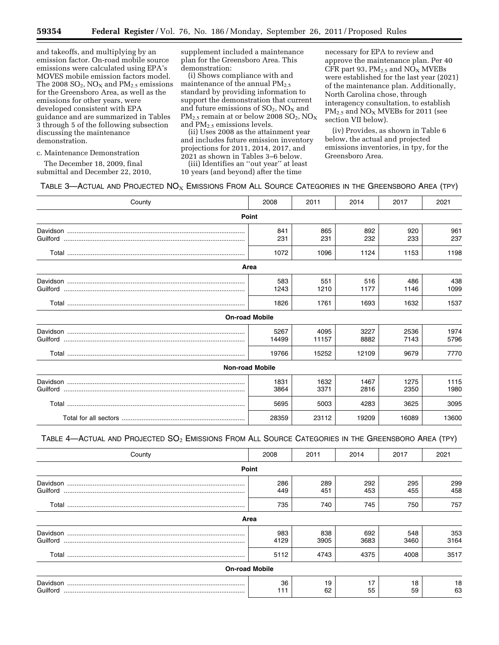and takeoffs, and multiplying by an emission factor. On-road mobile source emissions were calculated using EPA's MOVES mobile emission factors model. The 2008  $SO_2$ ,  $NO_X$  and  $PM_{2.5}$  emissions for the Greensboro Area, as well as the emissions for other years, were developed consistent with EPA guidance and are summarized in Tables 3 through 5 of the following subsection discussing the maintenance demonstration.

c. Maintenance Demonstration

The December 18, 2009, final submittal and December 22, 2010, supplement included a maintenance plan for the Greensboro Area. This demonstration:

(i) Shows compliance with and maintenance of the annual  $PM_{2.5}$ standard by providing information to support the demonstration that current and future emissions of  $SO_2$ ,  $NO_X$  and  $PM_{2.5}$  remain at or below 2008 SO<sub>2</sub>, NO<sub>X</sub> and PM2.5 emissions levels.

(ii) Uses 2008 as the attainment year and includes future emission inventory projections for 2011, 2014, 2017, and 2021 as shown in Tables 3–6 below. (iii) Identifies an ''out year'' at least

10 years (and beyond) after the time

necessary for EPA to review and approve the maintenance plan. Per 40 CFR part 93,  $PM_{2.5}$  and  $NO_X$  MVEBs were established for the last year (2021) of the maintenance plan. Additionally, North Carolina chose, through interagency consultation, to establish  $PM_{2.5}$  and  $NO<sub>X</sub>$  MVEBs for 2011 (see section VII below).

(iv) Provides, as shown in Table 6 below, the actual and projected emissions inventories, in tpy, for the Greensboro Area.

# TABLE 3—ACTUAL AND PROJECTED  $NO_X$  EMISSIONS FROM ALL SOURCE CATEGORIES IN THE GREENSBORO AREA (TPY)

| County | 2008                   | 2011          | 2014         | 2017         | 2021         |
|--------|------------------------|---------------|--------------|--------------|--------------|
|        | Point                  |               |              |              |              |
|        | 841<br>231             | 865<br>231    | 892<br>232   | 920<br>233   | 961<br>237   |
|        | 1072                   | 1096          | 1124         | 1153         | 1198         |
|        | Area                   |               |              |              |              |
|        | 583<br>1243            | 551<br>1210   | 516<br>1177  | 486<br>1146  | 438<br>1099  |
|        | 1826                   | 1761          | 1693         | 1632         | 1537         |
|        | <b>On-road Mobile</b>  |               |              |              |              |
|        | 5267<br>14499          | 4095<br>11157 | 3227<br>8882 | 2536<br>7143 | 1974<br>5796 |
|        | 19766                  | 15252         | 12109        | 9679         | 7770         |
|        | <b>Non-road Mobile</b> |               |              |              |              |
|        | 1831<br>3864           | 1632<br>3371  | 1467<br>2816 | 1275<br>2350 | 1115<br>1980 |
|        | 5695                   | 5003          | 4283         | 3625         | 3095         |
|        | 28359                  | 23112         | 19209        | 16089        | 13600        |

TABLE 4—ACTUAL AND PROJECTED SO2 EMISSIONS FROM ALL SOURCE CATEGORIES IN THE GREENSBORO AREA (TPY)

| County                | 2008        | 2011        | 2014        | 2017        | 2021        |
|-----------------------|-------------|-------------|-------------|-------------|-------------|
| Point                 |             |             |             |             |             |
| Guilford              | 286<br>449  | 289<br>451  | 292<br>453  | 295<br>455  | 299<br>458  |
|                       | 735         | 740         | 745         | 750         | 757         |
| Area                  |             |             |             |             |             |
|                       | 983<br>4129 | 838<br>3905 | 692<br>3683 | 548<br>3460 | 353<br>3164 |
|                       | 5112        | 4743        | 4375        | 4008        | 3517        |
| <b>On-road Mobile</b> |             |             |             |             |             |
| Guilford              | 36<br>111   | 19<br>62    | 17<br>55    | 18<br>59    | 18<br>63    |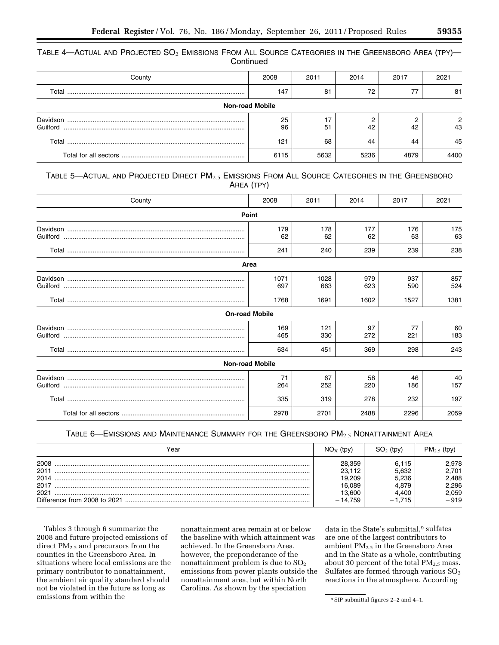TABLE 4—ACTUAL AND PROJECTED SO<sub>2</sub> EMISSIONS FROM ALL SOURCE CATEGORIES IN THE GREENSBORO AREA (TPY)— **Continued** 

| County   | 2008                   | 2011 | 2014 | 2017 | 2021    |
|----------|------------------------|------|------|------|---------|
| Total    | 147                    | 81   | 72   |      | 81      |
|          | <b>Non-road Mobile</b> |      |      |      |         |
| Guilford | 25<br>96               | 51   | 42   | 42   | 2<br>43 |
| Total    | 121                    | 68   | 44   | 44   | 45      |
|          | 6115                   | 5632 | 5236 | 4879 | 4400    |

TABLE 5-ACTUAL AND PROJECTED DIRECT PM<sub>2.5</sub> EMISSIONS FROM ALL SOURCE CATEGORIES IN THE GREENSBORO AREA (TPY)

| County | 2008                   | 2011        | 2014       | 2017       | 2021       |
|--------|------------------------|-------------|------------|------------|------------|
|        | Point                  |             |            |            |            |
|        | 179<br>62              | 178<br>62   | 177<br>62  | 176<br>63  | 175<br>63  |
|        | 241                    | 240         | 239        | 239        | 238        |
|        | Area                   |             |            |            |            |
|        | 1071<br>697            | 1028<br>663 | 979<br>623 | 937<br>590 | 857<br>524 |
|        | 1768                   | 1691        | 1602       | 1527       | 1381       |
|        | <b>On-road Mobile</b>  |             |            |            |            |
|        | 169<br>465             | 121<br>330  | 97<br>272  | 77<br>221  | 60<br>183  |
|        | 634                    | 451         | 369        | 298        | 243        |
|        | <b>Non-road Mobile</b> |             |            |            |            |
|        | 71<br>264              | 67<br>252   | 58<br>220  | 46<br>186  | 40<br>157  |
|        | 335                    | 319         | 278        | 232        | 197        |
|        | 2978                   | 2701        | 2488       | 2296       | 2059       |

TABLE 6—EMISSIONS AND MAINTENANCE SUMMARY FOR THE GREENSBORO PM2.5 NONATTAINMENT AREA

| Year | $NO_{x}$ (tpv) | $SO2$ (tpy) | $PM_{2.5}$ (tpy) |
|------|----------------|-------------|------------------|
| 2008 | 28,359         | 6.115       | 2,978            |
| 2011 | 23.112         | 5.632       | 2.701            |
| 2014 | 19.209         | 5.236       | 2,488            |
| 2017 | 6.089          | 4.879       | 2,296            |
| 2021 | 13.600         | 4.400       | 2,059            |
|      | $-14.759$      | $-1.715$    | -919             |

Tables 3 through 6 summarize the 2008 and future projected emissions of direct  $PM_{2.5}$  and precursors from the counties in the Greensboro Area. In situations where local emissions are the primary contributor to nonattainment, the ambient air quality standard should not be violated in the future as long as emissions from within the

nonattainment area remain at or below the baseline with which attainment was achieved. In the Greensboro Area, however, the preponderance of the nonattainment problem is due to  $SO<sub>2</sub>$ emissions from power plants outside the nonattainment area, but within North Carolina. As shown by the speciation

data in the State's submittal,<sup>9</sup> sulfates are one of the largest contributors to ambient  $PM_{2.5}$  in the Greensboro Area and in the State as a whole, contributing about 30 percent of the total  $PM_{2.5}$  mass. Sulfates are formed through various  $SO<sub>2</sub>$ reactions in the atmosphere. According

<sup>9</sup>SIP submittal figures 2–2 and 4–1.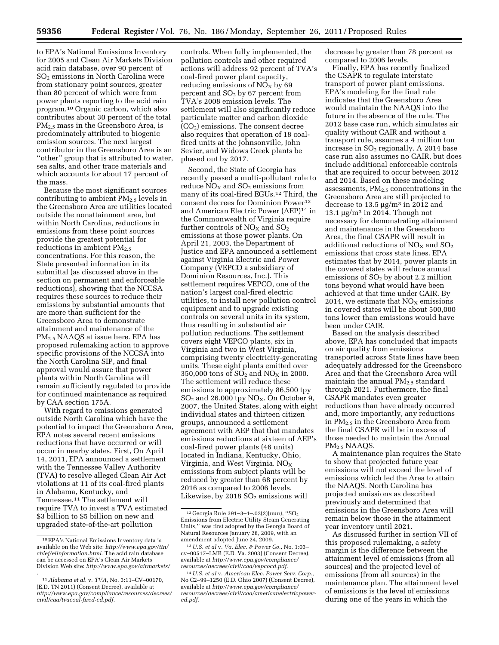to EPA's National Emissions Inventory for 2005 and Clean Air Markets Division acid rain database, over 90 percent of SO2 emissions in North Carolina were from stationary point sources, greater than 80 percent of which were from power plants reporting to the acid rain program.10 Organic carbon, which also contributes about 30 percent of the total PM2.5 mass in the Greensboro Area, is predominately attributed to biogenic emission sources. The next largest contributor in the Greensboro Area is an ''other'' group that is attributed to water, sea salts, and other trace materials and which accounts for about 17 percent of the mass.

Because the most significant sources contributing to ambient PM2.5 levels in the Greensboro Area are utilities located outside the nonattainment area, but within North Carolina, reductions in emissions from these point sources provide the greatest potential for reductions in ambient  $PM_{2.5}$ concentrations. For this reason, the State presented information in its submittal (as discussed above in the section on permanent and enforceable reductions), showing that the NCCSA requires these sources to reduce their emissions by substantial amounts that are more than sufficient for the Greensboro Area to demonstrate attainment and maintenance of the PM<sub>2.5</sub> NAAQS at issue here. EPA has proposed rulemaking action to approve specific provisions of the NCCSA into the North Carolina SIP, and final approval would assure that power plants within North Carolina will remain sufficiently regulated to provide for continued maintenance as required by CAA section 175A.

With regard to emissions generated outside North Carolina which have the potential to impact the Greensboro Area, EPA notes several recent emissions reductions that have occurred or will occur in nearby states. First, On April 14, 2011, EPA announced a settlement with the Tennessee Valley Authority (TVA) to resolve alleged Clean Air Act violations at 11 of its coal-fired plants in Alabama, Kentucky, and Tennessee.11 The settlement will require TVA to invest a TVA estimated \$3 billion to \$5 billion on new and upgraded state-of-the-art pollution

controls. When fully implemented, the pollution controls and other required actions will address 92 percent of TVA's coal-fired power plant capacity, reducing emissions of  $NO<sub>x</sub>$  by 69 percent and SO2 by 67 percent from TVA's 2008 emission levels. The settlement will also significantly reduce particulate matter and carbon dioxide  $(CO<sub>2</sub>)$  emissions. The consent decree also requires that operation of 18 coalfired units at the Johnsonville, John Sevier, and Widows Creek plants be phased out by 2017.

Second, the State of Georgia has recently passed a multi-pollutant rule to reduce  $NO<sub>x</sub>$  and  $SO<sub>2</sub>$  emissions from many of its coal-fired EGUs.12 Third, the consent decrees for Dominion Power<sup>13</sup> and American Electric Power (AEP)14 in the Commonwealth of Virginia require further controls of  $NO<sub>X</sub>$  and  $SO<sub>2</sub>$ emissions at those power plants. On April 21, 2003, the Department of Justice and EPA announced a settlement against Virginia Electric and Power Company (VEPCO a subsidiary of Dominion Resources, Inc.). This settlement requires VEPCO, one of the nation's largest coal-fired electric utilities, to install new pollution control equipment and to upgrade existing controls on several units in its system, thus resulting in substantial air pollution reductions. The settlement covers eight VEPCO plants, six in Virginia and two in West Virginia, comprising twenty electricity-generating units. These eight plants emitted over 350,000 tons of  $SO<sub>2</sub>$  and  $NO<sub>X</sub>$  in 2000. The settlement will reduce these emissions to approximately 86,500 tpy  $SO<sub>2</sub>$  and 26,000 tpy  $NO<sub>X</sub>$ . On October 9, 2007, the United States, along with eight individual states and thirteen citizen groups, announced a settlement agreement with AEP that that mandates emissions reductions at sixteen of AEP's coal-fired power plants (46 units) located in Indiana, Kentucky, Ohio, Virginia, and West Virginia.  $\rm{NO_{X}}$ emissions from subject plants will be reduced by greater than 68 percent by 2016 as compared to 2006 levels. Likewise, by  $2018$   $SO<sub>2</sub>$  emissions will

decrease by greater than 78 percent as compared to 2006 levels.

Finally, EPA has recently finalized the CSAPR to regulate interstate transport of power plant emissions. EPA's modeling for the final rule indicates that the Greensboro Area would maintain the NAAQS into the future in the absence of the rule. The 2012 base case run, which simulates air quality without CAIR and without a transport rule, assumes a 4 million ton increase in  $SO<sub>2</sub>$  regionally. A 2014 base case run also assumes no CAIR, but does include additional enforceable controls that are required to occur between 2012 and 2014. Based on these modeling assessments, PM2.5 concentrations in the Greensboro Area are still projected to decrease to  $13.5 \text{ µg/m}^3$  in 2012 and 13.1  $\mu$ g/m<sup>3</sup> in 2014. Though not necessary for demonstrating attainment and maintenance in the Greensboro Area, the final CSAPR will result in additional reductions of  $NO<sub>x</sub>$  and  $SO<sub>2</sub>$ emissions that cross state lines. EPA estimates that by 2014, power plants in the covered states will reduce annual emissions of  $SO<sub>2</sub>$  by about 2.2 million tons beyond what would have been achieved at that time under CAIR. By 2014, we estimate that  $NO<sub>x</sub>$  emissions in covered states will be about 500,000 tons lower than emissions would have been under CAIR.

Based on the analysis described above, EPA has concluded that impacts on air quality from emissions transported across State lines have been adequately addressed for the Greensboro Area and that the Greensboro Area will maintain the annual  $PM<sub>2.5</sub>$  standard through 2021. Furthermore, the final CSAPR mandates even greater reductions than have already occurred and, more importantly, any reductions in PM2.5 in the Greensboro Area from the final CSAPR will be in excess of those needed to maintain the Annual PM2.5 NAAQS.

A maintenance plan requires the State to show that projected future year emissions will not exceed the level of emissions which led the Area to attain the NAAQS. North Carolina has projected emissions as described previously and determined that emissions in the Greensboro Area will remain below those in the attainment year inventory until 2021.

As discussed further in section VII of this proposed rulemaking, a safety margin is the difference between the attainment level of emissions (from all sources) and the projected level of emissions (from all sources) in the maintenance plan. The attainment level of emissions is the level of emissions during one of the years in which the

<sup>10</sup>EPA's National Emissions Inventory data is available on the Web site: *[http://www.epa.gov/ttn/](http://www.epa.gov/ttn/chief/eiinformation.html)  [chief/eiinformation.html](http://www.epa.gov/ttn/chief/eiinformation.html)*. The acid rain database can be accessed on EPA's Clean Air Markets Division Web site: *<http://www.epa.gov/airmarkets/>* .

<sup>11</sup>*Alabama et al.* v. *TVA,* No. 3:11–CV–00170, (E.D. TN 2011) (Consent Decree), available at *[http://www.epa.gov/compliance/resources/decrees/](http://www.epa.gov/compliance/resources/decrees/civil/caa/tvacoal-fired-cd.pdf)  [civil/caa/tvacoal-fired-cd.pdf.](http://www.epa.gov/compliance/resources/decrees/civil/caa/tvacoal-fired-cd.pdf)* 

<sup>12</sup> Georgia Rule 391–3–1–.02(2)(uuu), ''SO<sup>2</sup> Emissions from Electric Utility Steam Generating Units,'' was first adopted by the Georgia Board of Natural Resources January 28, 2009, with an amendment adopted June 24, 2009.

<sup>13</sup>*U.S. et al* v. *Va. Elec. & Power Co.,* No. 1:03– cv–00517–LMB (E.D. Va. 2003) (Consent Decree), available at *[http://www.epa.gov/compliance/](http://www.epa.gov/compliance/resources/decrees/civil/caa/vepcocd.pdf)  [resources/decrees/civil/caa/vepcocd.pdf](http://www.epa.gov/compliance/resources/decrees/civil/caa/vepcocd.pdf)*.

<sup>14</sup>*U.S. et al* v. *American Elec. Power Serv. Corp.,*  No C2–99–1250 (E.D. Ohio 2007) (Consent Decree), available at *[http://www.epa.gov/compliance/](http://www.epa.gov/compliance/resources/decrees/civil/caa/americanelectricpower-cd.pdf)  [resources/decrees/civil/caa/americanelectricpower](http://www.epa.gov/compliance/resources/decrees/civil/caa/americanelectricpower-cd.pdf)[cd.pdf](http://www.epa.gov/compliance/resources/decrees/civil/caa/americanelectricpower-cd.pdf)*.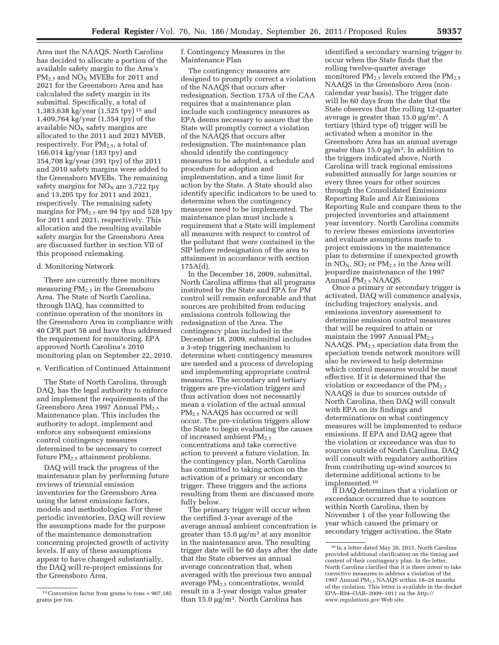Area met the NAAQS. North Carolina has decided to allocate a portion of the available safety margin to the Area's  $PM_{2.5}$  and  $NO<sub>X</sub>$  MVEBs for 2011 and 2021 for the Greensboro Area and has calculated the safety margin in its submittal. Specifically, a total of 1,383,638 kg/year (1,525 tpy) 15 and 1,409,764 kg/year (1,554 tpy) of the available  $NO<sub>x</sub>$  safety margins are allocated to the 2011 and 2021 MVEB, respectively. For  $PM_{2.5}$ , a total of 166,014 kg/year (183 tpy) and 354,708 kg/year (391 tpy) of the 2011 and 2010 safety margins were added to the Greensboro MVEBs. The remaining safety margins for  $NO<sub>x</sub>$  are 3,722 tpy and 13,205 tpy for 2011 and 2021, respectively. The remaining safety margins for PM2.5 are 94 tpy and 528 tpy for 2011 and 2021, respectively. This allocation and the resulting available safety margin for the Greensboro Area are discussed further in section VII of this proposed rulemaking.

#### d. Monitoring Network

There are currently three monitors measuring  $PM<sub>2.5</sub>$  in the Greensboro Area. The State of North Carolina, through DAQ, has committed to continue operation of the monitors in the Greensboro Area in compliance with 40 CFR part 58 and have thus addressed the requirement for monitoring. EPA approved North Carolina's 2010 monitoring plan on September 22, 2010.

#### e. Verification of Continued Attainment

The State of North Carolina, through DAQ, has the legal authority to enforce and implement the requirements of the Greensboro Area 1997 Annual  $PM_{2.5}$ Maintenance plan. This includes the authority to adopt, implement and enforce any subsequent emissions control contingency measures determined to be necessary to correct future  $PM_{2.5}$  attainment problems.

DAQ will track the progress of the maintenance plan by performing future reviews of triennial emission inventories for the Greensboro Area using the latest emissions factors, models and methodologies. For these periodic inventories, DAQ will review the assumptions made for the purpose of the maintenance demonstration concerning projected growth of activity levels. If any of these assumptions appear to have changed substantially, the DAQ will re-project emissions for the Greensboro Area.

f. Contingency Measures in the Maintenance Plan

The contingency measures are designed to promptly correct a violation of the NAAQS that occurs after redesignation. Section 175A of the CAA requires that a maintenance plan include such contingency measures as EPA deems necessary to assure that the State will promptly correct a violation of the NAAQS that occurs after redesignation. The maintenance plan should identify the contingency measures to be adopted, a schedule and procedure for adoption and implementation, and a time limit for action by the State. A State should also identify specific indicators to be used to determine when the contingency measures need to be implemented. The maintenance plan must include a requirement that a State will implement all measures with respect to control of the pollutant that were contained in the SIP before redesignation of the area to attainment in accordance with section 175A(d).

In the December 18, 2009, submittal, North Carolina affirms that all programs instituted by the State and EPA for PM control will remain enforceable and that sources are prohibited from reducing emissions controls following the redesignation of the Area. The contingency plan included in the December 18, 2009, submittal includes a 3-step triggering mechanism to determine when contingency measures are needed and a process of developing and implementing appropriate control measures. The secondary and tertiary triggers are pre-violation triggers and thus activation does not necessarily mean a violation of the actual annual PM<sub>2.5</sub> NAAQS has occurred or will occur. The pre-violation triggers allow the State to begin evaluating the causes of increased ambient  $PM<sub>2.5</sub>$ concentrations and take corrective action to prevent a future violation. In the contingency plan, North Carolina has committed to taking action on the activation of a primary or secondary trigger. These triggers and the actions resulting from them are discussed more fully below.

The primary trigger will occur when the certified 3-year average of the average annual ambient concentration is greater than 15.0  $\mu$ g/m<sup>3</sup> at any monitor in the maintenance area. The resulting trigger date will be 60 days after the date that the State observes an annual average concentration that, when averaged with the previous two annual average  $PM_{2.5}$  concentrations, would result in a 3-year design value greater than 15.0  $\mu$ g/m<sup>3</sup>. North Carolina has

identified a secondary warning trigger to occur when the State finds that the rolling twelve-quarter average monitored PM2.5 levels exceed the PM2.5 NAAQS in the Greensboro Area (noncalendar year basis). The trigger date will be 60 days from the date that the State observes that the rolling 12-quarter average is greater than  $15.0 \mu g/m<sup>3</sup>$ . A tertiary (third type of) trigger will be activated when a monitor in the Greensboro Area has an annual average greater than 15.0  $\mu$ g/m<sup>3</sup>. In addition to the triggers indicated above, North Carolina will track regional emissions submitted annually for large sources or every three years for other sources through the Consolidated Emissions Reporting Rule and Air Emissions Reporting Rule and compare them to the projected inventories and attainment year inventory. North Carolina commits to review theses emissions inventories and evaluate assumptions made to project emissions in the maintenance plan to determine if unexpected growth in  $NO<sub>X</sub>$ ,  $SO<sub>2</sub>$  or  $PM<sub>2.5</sub>$  in the Area will jeopardize maintenance of the 1997 Annual PM<sub>2.5</sub> NAAQS.

Once a primary or secondary trigger is activated, DAQ will commence analysis, including trajectory analysis, and emissions inventory assessment to determine emission control measures that will be required to attain or maintain the 1997 Annual  $PM_{2.5}$ NAAQS. PM<sub>2.5</sub> speciation data from the speciation trends network monitors will also be reviewed to help determine which control measures would be most effective. If it is determined that the violation or exceedance of the  $PM_{2.5}$ NAAQS is due to sources outside of North Carolina, then DAQ will consult with EPA on its findings and determinations on what contingency measures will be implemented to reduce emissions. If EPA and DAQ agree that the violation or exceedance was due to sources outside of North Carolina, DAQ will consult with regulatory authorities from contributing up-wind sources to determine additional actions to be implemented.16

If DAQ determines that a violation or exceedance occurred due to sources within North Carolina, then by November 1 of the year following the year which caused the primary or secondary trigger activation, the State

<sup>15</sup>Conversion factor from grams to tons = 907,185 grams per ton.

<sup>16</sup> In a letter dated May 20, 2011, North Carolina provided additional clarification on the timing and content of their contingency plan. In the letter, North Carolina clarified that it is there intent to take corrective measures to address a violation of the 1997 Annual PM<sub>2.5</sub> NAAQS within 18-24 months of the violation. This letter is available in the docket EPA–R04–OAR–2009–1011 on the *[http://](http://www.regulations.gov) [www.regulations.gov](http://www.regulations.gov)* Web site.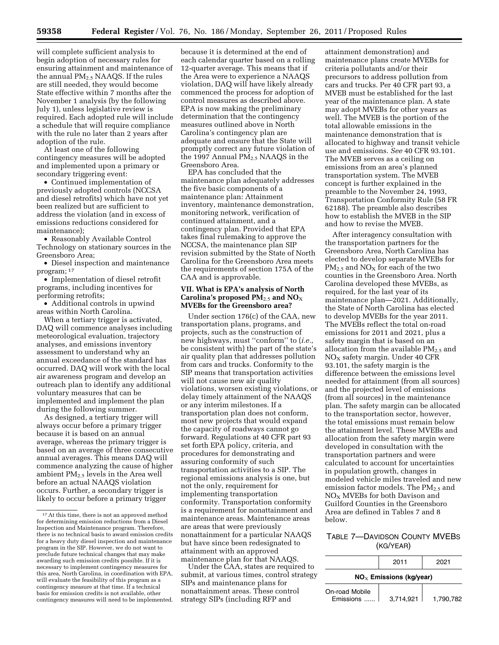will complete sufficient analysis to begin adoption of necessary rules for ensuring attainment and maintenance of the annual PM2.5 NAAQS. If the rules are still needed, they would become State effective within 7 months after the November 1 analysis (by the following July 1), unless legislative review is required. Each adopted rule will include a schedule that will require compliance with the rule no later than 2 years after adoption of the rule.

At least one of the following contingency measures will be adopted and implemented upon a primary or secondary triggering event:

• Continued implementation of previously adopted controls (NCCSA and diesel retrofits) which have not yet been realized but are sufficient to address the violation (and in excess of emissions reductions considered for maintenance);

• Reasonably Available Control Technology on stationary sources in the Greensboro Area;

• Diesel inspection and maintenance program; 17

• Implementation of diesel retrofit programs, including incentives for performing retrofits;

• Additional controls in upwind areas within North Carolina.

When a tertiary trigger is activated, DAQ will commence analyses including meteorological evaluation, trajectory analyses, and emissions inventory assessment to understand why an annual exceedance of the standard has occurred. DAQ will work with the local air awareness program and develop an outreach plan to identify any additional voluntary measures that can be implemented and implement the plan during the following summer.

As designed, a tertiary trigger will always occur before a primary trigger because it is based on an annual average, whereas the primary trigger is based on an average of three consecutive annual averages. This means DAQ will commence analyzing the cause of higher ambient PM2.5 levels in the Area well before an actual NAAQS violation occurs. Further, a secondary trigger is likely to occur before a primary trigger

because it is determined at the end of each calendar quarter based on a rolling 12-quarter average. This means that if the Area were to experience a NAAQS violation, DAQ will have likely already commenced the process for adoption of control measures as described above. EPA is now making the preliminary determination that the contingency measures outlined above in North Carolina's contingency plan are adequate and ensure that the State will promptly correct any future violation of the 1997 Annual  $PM<sub>2.5</sub> NAAQS$  in the Greensboro Area.

EPA has concluded that the maintenance plan adequately addresses the five basic components of a maintenance plan: Attainment inventory, maintenance demonstration, monitoring network, verification of continued attainment, and a contingency plan. Provided that EPA takes final rulemaking to approve the NCCSA, the maintenance plan SIP revision submitted by the State of North Carolina for the Greensboro Area meets the requirements of section 175A of the CAA and is approvable.

#### **VII. What is EPA's analysis of North Carolina's proposed PM**2.5 **and NO**X **MVEBs for the Greensboro area?**

Under section 176(c) of the CAA, new transportation plans, programs, and projects, such as the construction of new highways, must ''conform'' to (*i.e.,*  be consistent with) the part of the state's air quality plan that addresses pollution from cars and trucks. Conformity to the SIP means that transportation activities will not cause new air quality violations, worsen existing violations, or delay timely attainment of the NAAQS or any interim milestones. If a transportation plan does not conform, most new projects that would expand the capacity of roadways cannot go forward. Regulations at 40 CFR part 93 set forth EPA policy, criteria, and procedures for demonstrating and assuring conformity of such transportation activities to a SIP. The regional emissions analysis is one, but not the only, requirement for implementing transportation conformity. Transportation conformity is a requirement for nonattainment and maintenance areas. Maintenance areas are areas that were previously nonattainment for a particular NAAQS but have since been redesignated to attainment with an approved maintenance plan for that NAAQS.

Under the CAA, states are required to submit, at various times, control strategy SIPs and maintenance plans for nonattainment areas. These control strategy SIPs (including RFP and

attainment demonstration) and maintenance plans create MVEBs for criteria pollutants and/or their precursors to address pollution from cars and trucks. Per 40 CFR part 93, a MVEB must be established for the last year of the maintenance plan. A state may adopt MVEBs for other years as well. The MVEB is the portion of the total allowable emissions in the maintenance demonstration that is allocated to highway and transit vehicle use and emissions. *See* 40 CFR 93.101. The MVEB serves as a ceiling on emissions from an area's planned transportation system. The MVEB concept is further explained in the preamble to the November 24, 1993, Transportation Conformity Rule (58 FR 62188). The preamble also describes how to establish the MVEB in the SIP and how to revise the MVEB.

After interagency consultation with the transportation partners for the Greensboro Area, North Carolina has elected to develop separate MVEBs for  $PM_{2.5}$  and  $NO<sub>X</sub>$  for each of the two counties in the Greensboro Area. North Carolina developed these MVEBs, as required, for the last year of its maintenance plan—2021. Additionally, the State of North Carolina has elected to develop MVEBs for the year 2011. The MVEBs reflect the total on-road emissions for 2011 and 2021, plus a safety margin that is based on an allocation from the available PM2.5 and NO<sub>X</sub> safety margin. Under 40 CFR 93.101, the safety margin is the difference between the emissions level needed for attainment (from all sources) and the projected level of emissions (from all sources) in the maintenance plan. The safety margin can be allocated to the transportation sector, however, the total emissions must remain below the attainment level. These MVEBs and allocation from the safety margin were developed in consultation with the transportation partners and were calculated to account for uncertainties in population growth, changes in modeled vehicle miles traveled and new emission factor models. The  $PM_{2.5}$  and NOX MVEBs for both Davison and Guilford Counties in the Greensboro Area are defined in Tables 7 and 8 below.

# TABLE 7—DAVIDSON COUNTY MVEBS (KG/YEAR)

|                             | 2011      | 2021      |
|-----------------------------|-----------|-----------|
| $NOx$ Emissions (kg/year)   |           |           |
| On-road Mobile<br>Emissions | 3.714.921 | 1.790.782 |

<sup>17</sup>At this time, there is not an approved method for determining emission reductions from a Diesel Inspection and Maintenance program. Therefore, there is no technical basis to award emission credits for a heavy duty diesel inspection and maintenance program in the SIP. However, we do not want to preclude future technical changes that may make awarding such emission credits possible. If it is necessary to implement contingency measures for this area, North Carolina, in coordination with EPA, will evaluate the feasibility of this program as a contingency measure at that time. If a technical basis for emission credits is not available, other contingency measures will need to be implemented.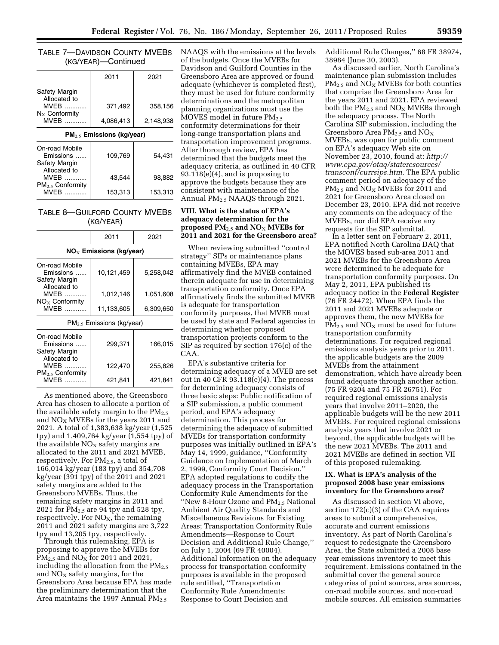## TABLE 7—DAVIDSON COUNTY MVEBS (KG/YEAR)—Continued

|                               | 2011      | 2021      |
|-------------------------------|-----------|-----------|
| Safety Margin<br>Allocated to |           |           |
| $MVEB$<br>$N_X$ Conformity    | 371,492   | 358.156   |
| MVFR                          | 4,086,413 | 2,148,938 |

#### **PM**2.5 **Emissions (kg/year)**

| On-road Mobile<br>Emissions | 109,769 | 54,431  |
|-----------------------------|---------|---------|
| Safety Margin               |         |         |
| Allocated to                |         |         |
| <b>MVER</b>                 | 43,544  | 98.882  |
| $PM_{2.5}$ Conformity       |         |         |
| <b>MVER</b>                 | 153.313 | 153.313 |
|                             |         |         |

TABLE 8—GUILFORD COUNTY MVEBS (KG/YEAR)

|                                                 | 2011                           | 2021      |
|-------------------------------------------------|--------------------------------|-----------|
|                                                 | $NOx$ Emissions (kg/year)      |           |
| On-road Mobile<br>Emissions<br>Safety Margin    | 10,121,459                     | 5,258,042 |
| Allocated to<br><b>MVEB</b><br>$NOx$ Conformity | 1.012,146                      | 1.051,608 |
| <b>MVEB</b>                                     | 11,133,605                     | 6,309,650 |
|                                                 | $PM_{2.5}$ Emissions (kg/year) |           |
| On-road Mobile<br>Emissions<br>Safety Margin    | 299,371                        | 166,015   |
| Allocated to<br>MVEB                            | 122,470                        | 255,826   |

MVEB ............ 421,841 421,841

PM2.5 Conformity

As mentioned above, the Greensboro Area has chosen to allocate a portion of the available safety margin to the  $PM_{2.5}$ and  $NO<sub>X</sub>$  MVEBs for the years 2011 and 2021. A total of 1,383,638 kg/year (1,525 tpy) and 1,409,764 kg/year (1,554 tpy) of the available  $NO<sub>x</sub>$  safety margins are allocated to the 2011 and 2021 MVEB, respectively. For  $PM_{2.5}$ , a total of 166,014 kg/year (183 tpy) and 354,708 kg/year (391 tpy) of the 2011 and 2021 safety margins are added to the Greensboro MVEBs. Thus, the remaining safety margins in 2011 and 2021 for  $PM<sub>2.5</sub>$  are 94 tpy and 528 tpy, respectively. For  $NO<sub>X</sub>$ , the remaining 2011 and 2021 safety margins are 3,722 tpy and 13,205 tpy, respectively.

Through this rulemaking, EPA is proposing to approve the MVEBs for  $PM_{2.5}$  and  $NO<sub>X</sub>$  for 2011 and 2021, including the allocation from the PM<sub>2.5</sub> and  $NO<sub>x</sub>$  safety margins, for the Greensboro Area because EPA has made the preliminary determination that the Area maintains the 1997 Annual  $PM_{2.5}$ 

NAAQS with the emissions at the levels of the budgets. Once the MVEBs for Davidson and Guilford Counties in the Greensboro Area are approved or found adequate (whichever is completed first), they must be used for future conformity determinations and the metropolitan planning organizations must use the MOVES model in future  $PM_{2.5}$ conformity determinations for their long-range transportation plans and transportation improvement programs. After thorough review, EPA has determined that the budgets meet the adequacy criteria, as outlined in 40 CFR 93.118(e)(4), and is proposing to approve the budgets because they are consistent with maintenance of the Annual PM2.5 NAAQS through 2021.

# **VIII. What is the status of EPA's adequacy determination for the proposed PM**2.5 **and NO**X **MVEBs for 2011 and 2021 for the Greensboro area?**

When reviewing submitted ''control strategy'' SIPs or maintenance plans containing MVEBs, EPA may affirmatively find the MVEB contained therein adequate for use in determining transportation conformity. Once EPA affirmatively finds the submitted MVEB is adequate for transportation conformity purposes, that MVEB must be used by state and Federal agencies in determining whether proposed transportation projects conform to the SIP as required by section 176(c) of the CAA.

EPA's substantive criteria for determining adequacy of a MVEB are set out in 40 CFR 93.118(e)(4). The process for determining adequacy consists of three basic steps: Public notification of a SIP submission, a public comment period, and EPA's adequacy determination. This process for determining the adequacy of submitted MVEBs for transportation conformity purposes was initially outlined in EPA's May 14, 1999, guidance, ''Conformity Guidance on Implementation of March 2, 1999, Conformity Court Decision.'' EPA adopted regulations to codify the adequacy process in the Transportation Conformity Rule Amendments for the ''New 8-Hour Ozone and PM2.5 National Ambient Air Quality Standards and Miscellaneous Revisions for Existing Areas; Transportation Conformity Rule Amendments—Response to Court Decision and Additional Rule Change,'' on July 1, 2004 (69 FR 40004). Additional information on the adequacy process for transportation conformity purposes is available in the proposed rule entitled, ''Transportation Conformity Rule Amendments: Response to Court Decision and

Additional Rule Changes,'' 68 FR 38974, 38984 (June 30, 2003).

As discussed earlier, North Carolina's maintenance plan submission includes  $PM_{2.5}$  and  $NO_X$  MVEBs for both counties that comprise the Greensboro Area for the years 2011 and 2021. EPA reviewed both the  $PM_{2.5}$  and  $NO_X$  MVEBs through the adequacy process. The North Carolina SIP submission, including the Greensboro Area  $PM_{2.5}$  and  $NO_X$ MVEBs, was open for public comment on EPA's adequacy Web site on November 23, 2010, found at: *[http://](http://www.epa.gov/otaq/stateresources/transconf/currsips.htm)  [www.epa.gov/otaq/stateresources/](http://www.epa.gov/otaq/stateresources/transconf/currsips.htm)  [transconf/currsips.htm.](http://www.epa.gov/otaq/stateresources/transconf/currsips.htm)* The EPA public comment period on adequacy of the PM<sub>2.5</sub> and NO<sub>X</sub> MVEBs for 2011 and 2021 for Greensboro Area closed on December 23, 2010. EPA did not receive any comments on the adequacy of the MVEBs, nor did EPA receive any requests for the SIP submittal.

In a letter sent on February 2, 2011, EPA notified North Carolina DAQ that the MOVES based sub-area 2011 and 2021 MVEBs for the Greensboro Area were determined to be adequate for transportation conformity purposes. On May 2, 2011, EPA published its adequacy notice in the **Federal Register**  (76 FR 24472). When EPA finds the 2011 and 2021 MVEBs adequate or approves them, the new MVEBs for PM<sub>2.5</sub> and NO<sub>X</sub> must be used for future transportation conformity determinations. For required regional emissions analysis years prior to 2011, the applicable budgets are the 2009 MVEBs from the attainment demonstration, which have already been found adequate through another action. (75 FR 9204 and 75 FR 26751). For required regional emissions analysis years that involve 2011–2020, the applicable budgets will be the new 2011 MVEBs. For required regional emissions analysis years that involve 2021 or beyond, the applicable budgets will be the new 2021 MVEBs. The 2011 and 2021 MVEBs are defined in section VII of this proposed rulemaking.

# **IX. What is EPA's analysis of the proposed 2008 base year emissions inventory for the Greensboro area?**

As discussed in section VI above, section 172(c)(3) of the CAA requires areas to submit a comprehensive, accurate and current emissions inventory. As part of North Carolina's request to redesignate the Greensboro Area, the State submitted a 2008 base year emissions inventory to meet this requirement. Emissions contained in the submittal cover the general source categories of point sources, area sources, on-road mobile sources, and non-road mobile sources. All emission summaries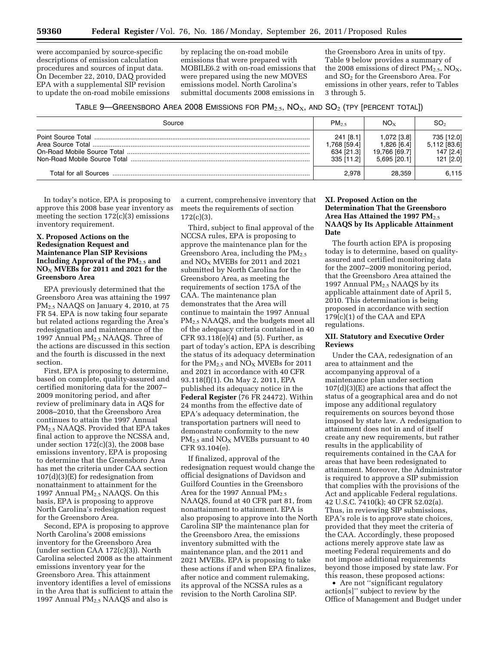were accompanied by source-specific descriptions of emission calculation procedures and sources of input data. On December 22, 2010, DAQ provided EPA with a supplemental SIP revision to update the on-road mobile emissions by replacing the on-road mobile emissions that were prepared with MOBILE6.2 with on-road emissions that were prepared using the new MOVES emissions model. North Carolina's submittal documents 2008 emissions in

the Greensboro Area in units of tpy. Table 9 below provides a summary of the 2008 emissions of direct  $PM_{2.5}$ , NO<sub>X</sub>, and SO2 for the Greensboro Area. For emissions in other years, refer to Tables 3 through 5.

TABLE 9—GREENSBORO AREA 2008 EMISSIONS FOR  $PM_{2.5}$ ,  $NO_{X}$ , and  $SO_2$  (tpy [percent total])

| Source | $PM_{2.5}$                                            | $NO_{x}$                                                    | SO <sub>2</sub>                                        |
|--------|-------------------------------------------------------|-------------------------------------------------------------|--------------------------------------------------------|
|        | 241 [8.1]<br>1,768 [59.4]<br>634 [21.3]<br>335 [11.2] | 1,072 [3.8]<br>1,826 [6.4]<br>19,766 [69.7]<br>5,695 [20.1] | 735 [12.0]<br>$5,112$ [83.6]<br>147 [2.4]<br>121 [2.0] |
|        | 2.978                                                 | 28.359                                                      | 6.115                                                  |

In today's notice, EPA is proposing to approve this 2008 base year inventory as meeting the section 172(c)(3) emissions inventory requirement.

## **X. Proposed Actions on the Redesignation Request and Maintenance Plan SIP Revisions Including Approval of the PM**2.5 **and NO**X **MVEBs for 2011 and 2021 for the Greensboro Area**

EPA previously determined that the Greensboro Area was attaining the 1997 PM2.5 NAAQS on January 4, 2010, at 75 FR 54. EPA is now taking four separate but related actions regarding the Area's redesignation and maintenance of the 1997 Annual PM<sub>2.5</sub> NAAQS. Three of the actions are discussed in this section and the fourth is discussed in the next section.

First, EPA is proposing to determine, based on complete, quality-assured and certified monitoring data for the 2007– 2009 monitoring period, and after review of preliminary data in AQS for 2008–2010, that the Greensboro Area continues to attain the 1997 Annual PM2.5 NAAQS. Provided that EPA takes final action to approve the NCSSA and, under section 172(c)(3), the 2008 base emissions inventory, EPA is proposing to determine that the Greensboro Area has met the criteria under CAA section  $107(d)(3)(E)$  for redesignation from nonattainment to attainment for the 1997 Annual PM<sub>2.5</sub> NAAQS. On this basis, EPA is proposing to approve North Carolina's redesignation request for the Greensboro Area.

Second, EPA is proposing to approve North Carolina's 2008 emissions inventory for the Greensboro Area (under section CAA 172(c)(3)). North Carolina selected 2008 as the attainment emissions inventory year for the Greensboro Area. This attainment inventory identifies a level of emissions in the Area that is sufficient to attain the 1997 Annual PM2.5 NAAQS and also is

a current, comprehensive inventory that meets the requirements of section 172(c)(3).

Third, subject to final approval of the NCCSA rules, EPA is proposing to approve the maintenance plan for the Greensboro Area, including the  $PM_{2.5}$ and  $NO<sub>X</sub>$  MVEBs for 2011 and 2021 submitted by North Carolina for the Greensboro Area, as meeting the requirements of section 175A of the CAA. The maintenance plan demonstrates that the Area will continue to maintain the 1997 Annual PM2.5 NAAQS, and the budgets meet all of the adequacy criteria contained in 40 CFR  $93.118(e)(4)$  and  $(5)$ . Further, as part of today's action, EPA is describing the status of its adequacy determination for the  $PM_{2.5}$  and  $NO_X$  MVEBs for 2011 and 2021 in accordance with 40 CFR 93.118(f)(1). On May 2, 2011, EPA published its adequacy notice in the **Federal Register** (76 FR 24472). Within 24 months from the effective date of EPA's adequacy determination, the transportation partners will need to demonstrate conformity to the new  $PM<sub>2.5</sub>$  and  $NO<sub>X</sub>$  MVEBs pursuant to 40 CFR 93.104(e).

If finalized, approval of the redesignation request would change the official designations of Davidson and Guilford Counties in the Greensboro Area for the 1997 Annual  $PM<sub>2.5</sub>$ NAAQS, found at 40 CFR part 81, from nonattainment to attainment. EPA is also proposing to approve into the North Carolina SIP the maintenance plan for the Greensboro Area, the emissions inventory submitted with the maintenance plan, and the 2011 and 2021 MVEBs. EPA is proposing to take these actions if and when EPA finalizes, after notice and comment rulemaking, its approval of the NCSSA rules as a revision to the North Carolina SIP.

# **XI. Proposed Action on the Determination That the Greensboro Area Has Attained the 1997 PM**2.5 **NAAQS by Its Applicable Attainment Date**

The fourth action EPA is proposing today is to determine, based on qualityassured and certified monitoring data for the 2007–2009 monitoring period, that the Greensboro Area attained the 1997 Annual PM<sub>2.5</sub> NAAQS by its applicable attainment date of April 5, 2010. This determination is being proposed in accordance with section 179(c)(1) of the CAA and EPA regulations.

### **XII. Statutory and Executive Order Reviews**

Under the CAA, redesignation of an area to attainment and the accompanying approval of a maintenance plan under section 107(d)(3)(E) are actions that affect the status of a geographical area and do not impose any additional regulatory requirements on sources beyond those imposed by state law. A redesignation to attainment does not in and of itself create any new requirements, but rather results in the applicability of requirements contained in the CAA for areas that have been redesignated to attainment. Moreover, the Administrator is required to approve a SIP submission that complies with the provisions of the Act and applicable Federal regulations. 42 U.S.C. 7410(k); 40 CFR 52.02(a). Thus, in reviewing SIP submissions, EPA's role is to approve state choices, provided that they meet the criteria of the CAA. Accordingly, these proposed actions merely approve state law as meeting Federal requirements and do not impose additional requirements beyond those imposed by state law. For this reason, these proposed actions:

• Are not ''significant regulatory action[s]'' subject to review by the Office of Management and Budget under